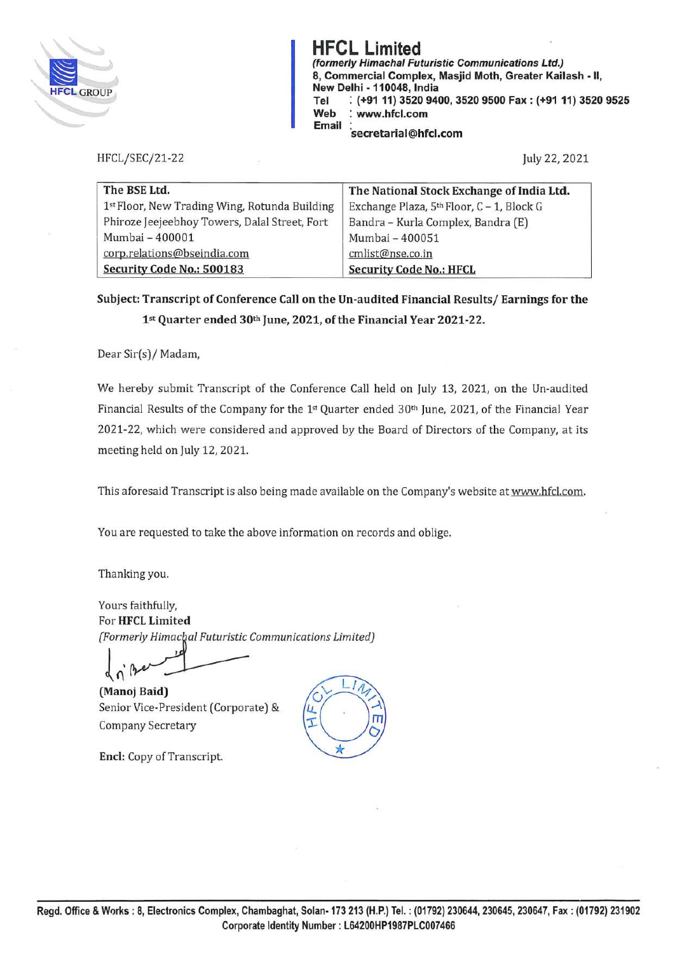

**HFCL Limited**<br>(formerly Himachal Futuristic Communications Ltd.) **h ITUL LIMITEG**<br>
(formerly Himachal Futuristic Communications Ltd.)<br>
8, Commercial Complex, Masjid Moth, Greater Kail<br>
New Delhi - 110048, India **8, Commercial Complex, Masjid Moth, Greater Kailash** - II, **New Delhi** - **110048, India Tel** : **(+91 11) 3520 9400, 3520 9500 Fax: (+9111) 3520 9525 Web** : **www.hfcl.com Email ·secretarial@hfcl.com** 

#### HFCL/SEC/21-22

July 22, 2021

| The BSE Ltd.                                  | The National Stock Exchange of India Ltd. |
|-----------------------------------------------|-------------------------------------------|
| 1st Floor, New Trading Wing, Rotunda Building | Exchange Plaza, 5th Floor, C - 1, Block G |
| Phiroze Jeejeebhoy Towers, Dalal Street, Fort | Bandra - Kurla Complex, Bandra (E)        |
| Mumbai - 400001                               | Mumbai - 400051                           |
| corp.relations@bseindia.com                   | cmlist@nse.co.in                          |
| Security Code No.: 500183                     | <b>Security Code No.: HFCL</b>            |

**Subject: Transcript of Conference Call on the Un-audited Financial Results/ Earnings for the 1st Quarter ended 30th June, 2021, of the Financial Year 2021-22.** 

Dear Sir(s)/ Madam,

We hereby submit Transcript of the Conference Call held on July 13, 2021, on the Un-audited Financial Results of the Company for the 1<sup>st</sup> Quarter ended 30<sup>th</sup> June, 2021, of the Financial Year 2021-22, which were considered and approved by the Board of Directors of the Company, at its meeting held on July 12, 2021.

This aforesaid Transcript is also being made available on the Company's website at www.hfcl.com.

You are requested to take the above information on records and oblige.

Thanking you.

Yours faithfully, For **HFCL Limited**  *(Formerly Himachal Futuristic Communications Limited)* 

**(Manoj Baid)**  Senior Vice-President (Corporate) & Company Secretary

**Encl:** Copy of Transcript.

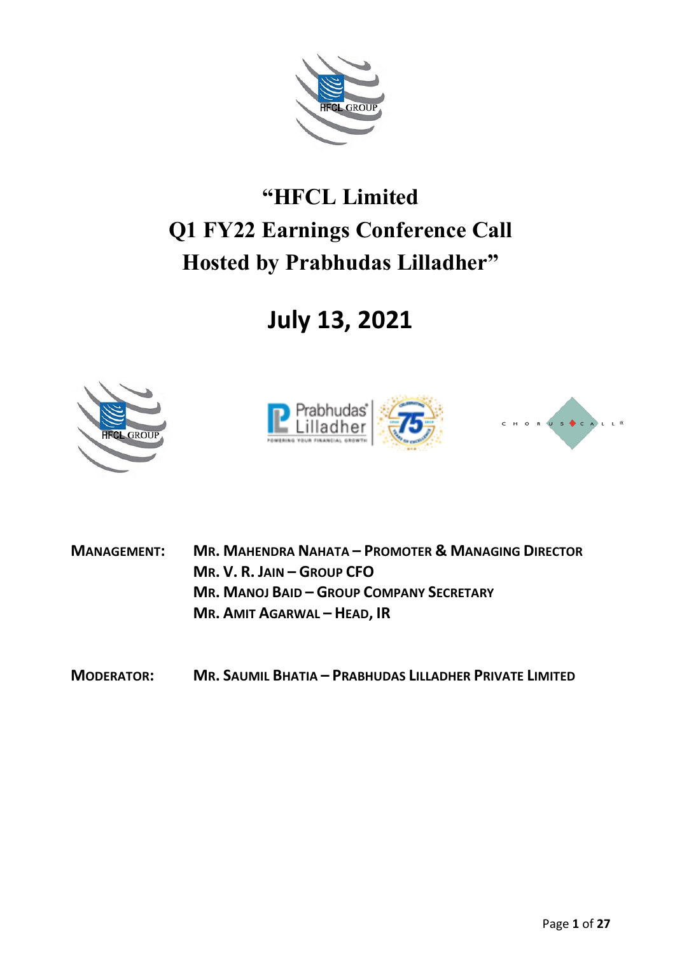

# **"HFCL Limited Q1 FY22 Earnings Conference Call Hosted by Prabhudas Lilladher"**

# **July 13, 2021**







**MANAGEMENT: MR. MAHENDRA NAHATA – PROMOTER & MANAGING DIRECTOR MR. V. R. JAIN – GROUP CFO MR. MANOJ BAID – GROUP COMPANY SECRETARY MR. AMIT AGARWAL – HEAD, IR**

**MODERATOR: MR. SAUMIL BHATIA – PRABHUDAS LILLADHER PRIVATE LIMITED**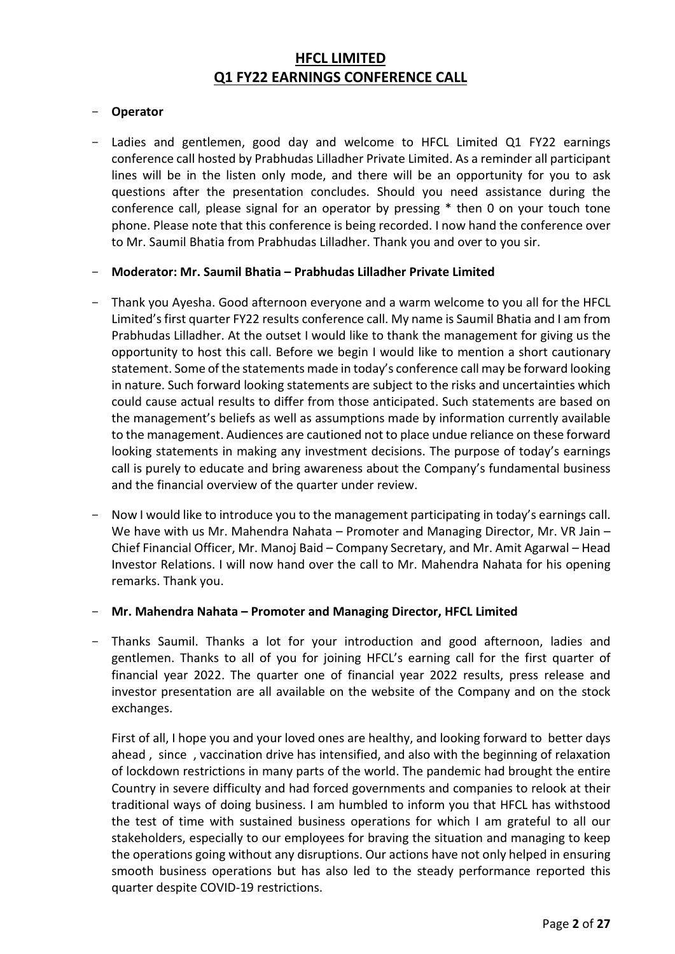# **HFCL LIMITED Q1 FY22 EARNINGS CONFERENCE CALL**

# - **Operator**

- Ladies and gentlemen, good day and welcome to HFCL Limited Q1 FY22 earnings conference call hosted by Prabhudas Lilladher Private Limited. As a reminder all participant lines will be in the listen only mode, and there will be an opportunity for you to ask questions after the presentation concludes. Should you need assistance during the conference call, please signal for an operator by pressing \* then 0 on your touch tone phone. Please note that this conference is being recorded. I now hand the conference over to Mr. Saumil Bhatia from Prabhudas Lilladher. Thank you and over to you sir.

# - **Moderator: Mr. Saumil Bhatia – Prabhudas Lilladher Private Limited**

- Thank you Ayesha. Good afternoon everyone and a warm welcome to you all for the HFCL Limited's first quarter FY22 results conference call. My name is Saumil Bhatia and I am from Prabhudas Lilladher. At the outset I would like to thank the management for giving us the opportunity to host this call. Before we begin I would like to mention a short cautionary statement. Some of the statements made in today's conference call may be forward looking in nature. Such forward looking statements are subject to the risks and uncertainties which could cause actual results to differ from those anticipated. Such statements are based on the management's beliefs as well as assumptions made by information currently available to the management. Audiences are cautioned not to place undue reliance on these forward looking statements in making any investment decisions. The purpose of today's earnings call is purely to educate and bring awareness about the Company's fundamental business and the financial overview of the quarter under review.
- Now I would like to introduce you to the management participating in today's earnings call. We have with us Mr. Mahendra Nahata – Promoter and Managing Director, Mr. VR Jain – Chief Financial Officer, Mr. Manoj Baid – Company Secretary, and Mr. Amit Agarwal – Head Investor Relations. I will now hand over the call to Mr. Mahendra Nahata for his opening remarks. Thank you.

# - **Mr. Mahendra Nahata – Promoter and Managing Director, HFCL Limited**

- Thanks Saumil. Thanks a lot for your introduction and good afternoon, ladies and gentlemen. Thanks to all of you for joining HFCL's earning call for the first quarter of financial year 2022. The quarter one of financial year 2022 results, press release and investor presentation are all available on the website of the Company and on the stock exchanges.

First of all, I hope you and your loved ones are healthy, and looking forward to better days ahead , since , vaccination drive has intensified, and also with the beginning of relaxation of lockdown restrictions in many parts of the world. The pandemic had brought the entire Country in severe difficulty and had forced governments and companies to relook at their traditional ways of doing business. I am humbled to inform you that HFCL has withstood the test of time with sustained business operations for which I am grateful to all our stakeholders, especially to our employees for braving the situation and managing to keep the operations going without any disruptions. Our actions have not only helped in ensuring smooth business operations but has also led to the steady performance reported this quarter despite COVID-19 restrictions.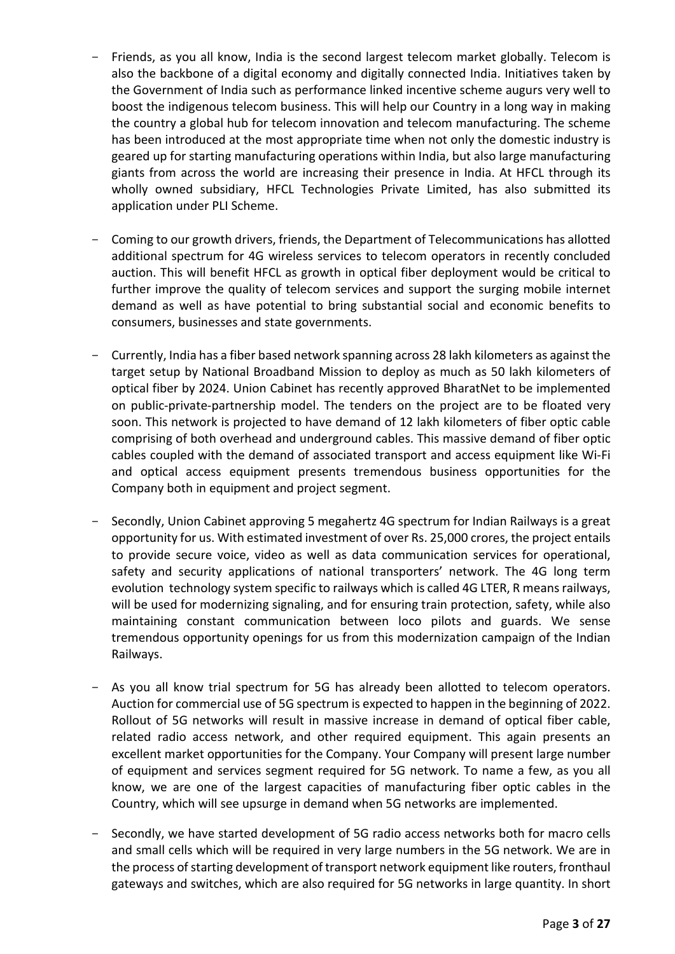- Friends, as you all know, India is the second largest telecom market globally. Telecom is also the backbone of a digital economy and digitally connected India. Initiatives taken by the Government of India such as performance linked incentive scheme augurs very well to boost the indigenous telecom business. This will help our Country in a long way in making the country a global hub for telecom innovation and telecom manufacturing. The scheme has been introduced at the most appropriate time when not only the domestic industry is geared up for starting manufacturing operations within India, but also large manufacturing giants from across the world are increasing their presence in India. At HFCL through its wholly owned subsidiary, HFCL Technologies Private Limited, has also submitted its application under PLI Scheme.
- Coming to our growth drivers, friends, the Department of Telecommunications has allotted additional spectrum for 4G wireless services to telecom operators in recently concluded auction. This will benefit HFCL as growth in optical fiber deployment would be critical to further improve the quality of telecom services and support the surging mobile internet demand as well as have potential to bring substantial social and economic benefits to consumers, businesses and state governments.
- Currently, India has a fiber based network spanning across 28 lakh kilometers as against the target setup by National Broadband Mission to deploy as much as 50 lakh kilometers of optical fiber by 2024. Union Cabinet has recently approved BharatNet to be implemented on public-private-partnership model. The tenders on the project are to be floated very soon. This network is projected to have demand of 12 lakh kilometers of fiber optic cable comprising of both overhead and underground cables. This massive demand of fiber optic cables coupled with the demand of associated transport and access equipment like Wi-Fi and optical access equipment presents tremendous business opportunities for the Company both in equipment and project segment.
- Secondly, Union Cabinet approving 5 megahertz 4G spectrum for Indian Railways is a great opportunity for us. With estimated investment of over Rs. 25,000 crores, the project entails to provide secure voice, video as well as data communication services for operational, safety and security applications of national transporters' network. The 4G long term evolution technology system specific to railways which is called 4G LTER, R means railways, will be used for modernizing signaling, and for ensuring train protection, safety, while also maintaining constant communication between loco pilots and guards. We sense tremendous opportunity openings for us from this modernization campaign of the Indian Railways.
- As you all know trial spectrum for 5G has already been allotted to telecom operators. Auction for commercial use of 5G spectrum is expected to happen in the beginning of 2022. Rollout of 5G networks will result in massive increase in demand of optical fiber cable, related radio access network, and other required equipment. This again presents an excellent market opportunities for the Company. Your Company will present large number of equipment and services segment required for 5G network. To name a few, as you all know, we are one of the largest capacities of manufacturing fiber optic cables in the Country, which will see upsurge in demand when 5G networks are implemented.
- Secondly, we have started development of 5G radio access networks both for macro cells and small cells which will be required in very large numbers in the 5G network. We are in the process of starting development of transport network equipment like routers, fronthaul gateways and switches, which are also required for 5G networks in large quantity. In short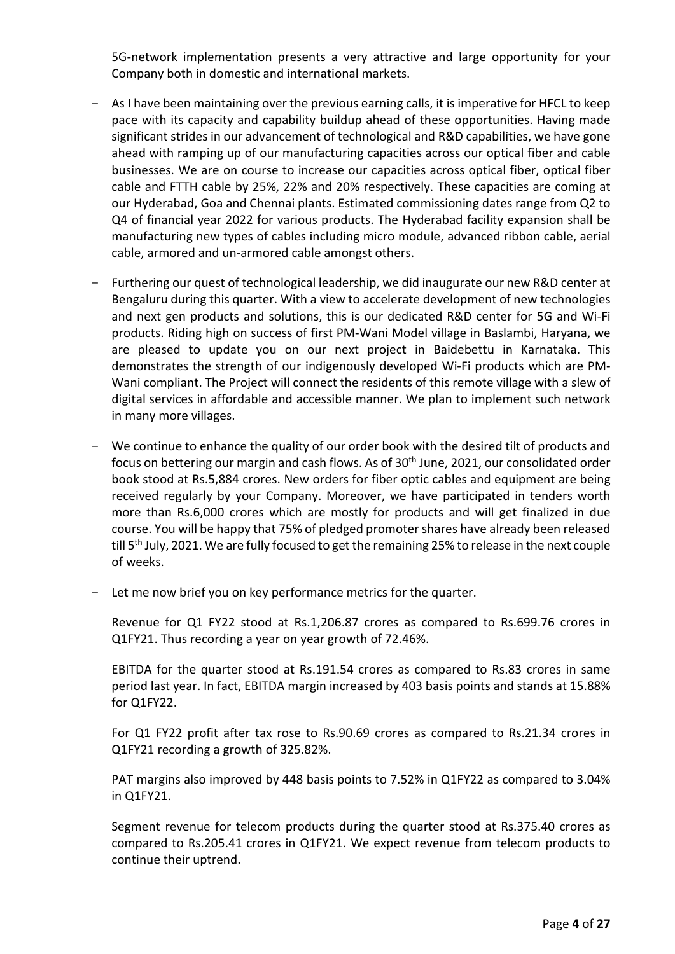5G-network implementation presents a very attractive and large opportunity for your Company both in domestic and international markets.

- As I have been maintaining over the previous earning calls, it is imperative for HFCL to keep pace with its capacity and capability buildup ahead of these opportunities. Having made significant strides in our advancement of technological and R&D capabilities, we have gone ahead with ramping up of our manufacturing capacities across our optical fiber and cable businesses. We are on course to increase our capacities across optical fiber, optical fiber cable and FTTH cable by 25%, 22% and 20% respectively. These capacities are coming at our Hyderabad, Goa and Chennai plants. Estimated commissioning dates range from Q2 to Q4 of financial year 2022 for various products. The Hyderabad facility expansion shall be manufacturing new types of cables including micro module, advanced ribbon cable, aerial cable, armored and un-armored cable amongst others.
- Furthering our quest of technological leadership, we did inaugurate our new R&D center at Bengaluru during this quarter. With a view to accelerate development of new technologies and next gen products and solutions, this is our dedicated R&D center for 5G and Wi-Fi products. Riding high on success of first PM-Wani Model village in Baslambi, Haryana, we are pleased to update you on our next project in Baidebettu in Karnataka. This demonstrates the strength of our indigenously developed Wi-Fi products which are PM-Wani compliant. The Project will connect the residents of this remote village with a slew of digital services in affordable and accessible manner. We plan to implement such network in many more villages.
- We continue to enhance the quality of our order book with the desired tilt of products and focus on bettering our margin and cash flows. As of 30<sup>th</sup> June, 2021, our consolidated order book stood at Rs.5,884 crores. New orders for fiber optic cables and equipment are being received regularly by your Company. Moreover, we have participated in tenders worth more than Rs.6,000 crores which are mostly for products and will get finalized in due course. You will be happy that 75% of pledged promoter shares have already been released till 5<sup>th</sup> July, 2021. We are fully focused to get the remaining 25% to release in the next couple of weeks.
- Let me now brief you on key performance metrics for the quarter.

Revenue for Q1 FY22 stood at Rs.1,206.87 crores as compared to Rs.699.76 crores in Q1FY21. Thus recording a year on year growth of 72.46%.

EBITDA for the quarter stood at Rs.191.54 crores as compared to Rs.83 crores in same period last year. In fact, EBITDA margin increased by 403 basis points and stands at 15.88% for Q1FY22.

For Q1 FY22 profit after tax rose to Rs.90.69 crores as compared to Rs.21.34 crores in Q1FY21 recording a growth of 325.82%.

PAT margins also improved by 448 basis points to 7.52% in Q1FY22 as compared to 3.04% in Q1FY21.

Segment revenue for telecom products during the quarter stood at Rs.375.40 crores as compared to Rs.205.41 crores in Q1FY21. We expect revenue from telecom products to continue their uptrend.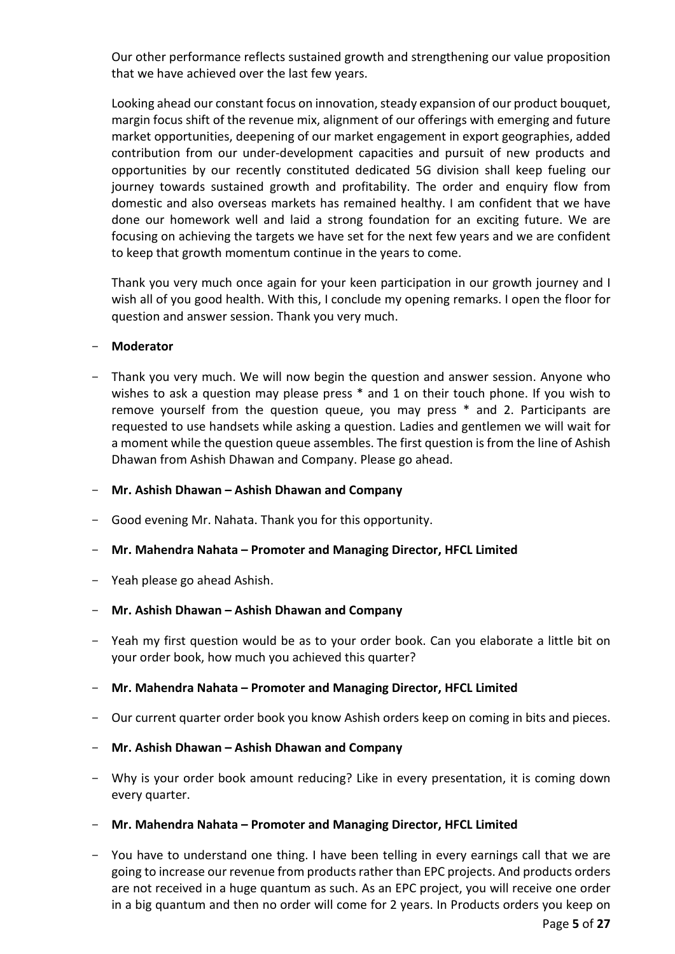Our other performance reflects sustained growth and strengthening our value proposition that we have achieved over the last few years.

Looking ahead our constant focus on innovation, steady expansion of our product bouquet, margin focus shift of the revenue mix, alignment of our offerings with emerging and future market opportunities, deepening of our market engagement in export geographies, added contribution from our under-development capacities and pursuit of new products and opportunities by our recently constituted dedicated 5G division shall keep fueling our journey towards sustained growth and profitability. The order and enquiry flow from domestic and also overseas markets has remained healthy. I am confident that we have done our homework well and laid a strong foundation for an exciting future. We are focusing on achieving the targets we have set for the next few years and we are confident to keep that growth momentum continue in the years to come.

Thank you very much once again for your keen participation in our growth journey and I wish all of you good health. With this, I conclude my opening remarks. I open the floor for question and answer session. Thank you very much.

# - **Moderator**

- Thank you very much. We will now begin the question and answer session. Anyone who wishes to ask a question may please press \* and 1 on their touch phone. If you wish to remove yourself from the question queue, you may press \* and 2. Participants are requested to use handsets while asking a question. Ladies and gentlemen we will wait for a moment while the question queue assembles. The first question is from the line of Ashish Dhawan from Ashish Dhawan and Company. Please go ahead.
- **Mr. Ashish Dhawan – Ashish Dhawan and Company**
- Good evening Mr. Nahata. Thank you for this opportunity.
- **Mr. Mahendra Nahata – Promoter and Managing Director, HFCL Limited**
- Yeah please go ahead Ashish.
- **Mr. Ashish Dhawan – Ashish Dhawan and Company**
- Yeah my first question would be as to your order book. Can you elaborate a little bit on your order book, how much you achieved this quarter?
- **Mr. Mahendra Nahata – Promoter and Managing Director, HFCL Limited**
- Our current quarter order book you know Ashish orders keep on coming in bits and pieces.
- **Mr. Ashish Dhawan – Ashish Dhawan and Company**
- Why is your order book amount reducing? Like in every presentation, it is coming down every quarter.
- **Mr. Mahendra Nahata – Promoter and Managing Director, HFCL Limited**
- You have to understand one thing. I have been telling in every earnings call that we are going to increase our revenue from products rather than EPC projects. And products orders are not received in a huge quantum as such. As an EPC project, you will receive one order in a big quantum and then no order will come for 2 years. In Products orders you keep on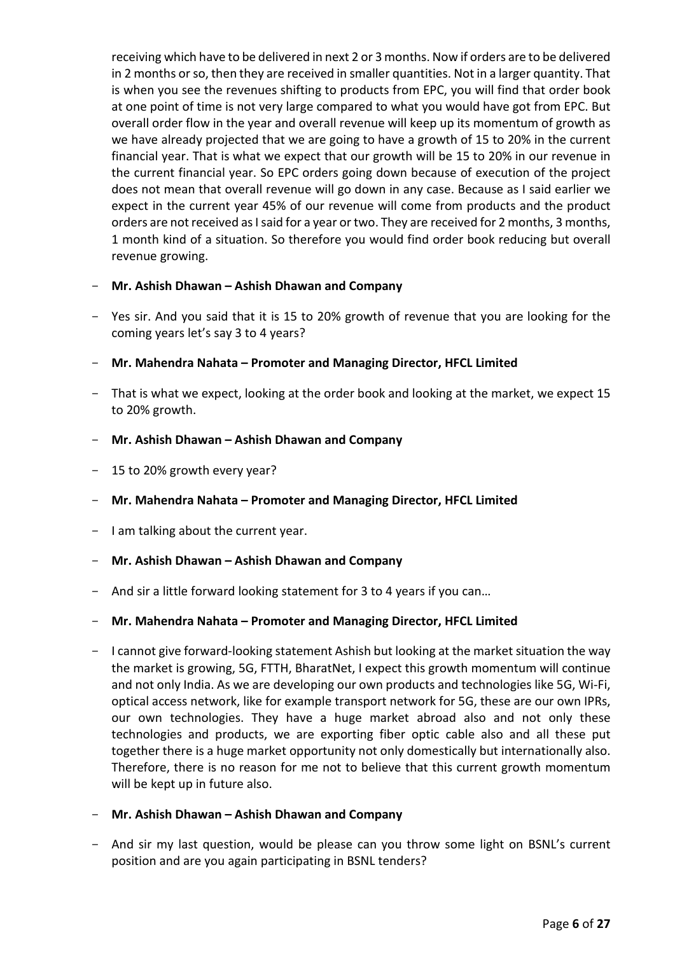receiving which have to be delivered in next 2 or 3 months. Now if orders are to be delivered in 2 months or so, then they are received in smaller quantities. Not in a larger quantity. That is when you see the revenues shifting to products from EPC, you will find that order book at one point of time is not very large compared to what you would have got from EPC. But overall order flow in the year and overall revenue will keep up its momentum of growth as we have already projected that we are going to have a growth of 15 to 20% in the current financial year. That is what we expect that our growth will be 15 to 20% in our revenue in the current financial year. So EPC orders going down because of execution of the project does not mean that overall revenue will go down in any case. Because as I said earlier we expect in the current year 45% of our revenue will come from products and the product orders are not received as I said for a year or two. They are received for 2 months, 3 months, 1 month kind of a situation. So therefore you would find order book reducing but overall revenue growing.

# - **Mr. Ashish Dhawan – Ashish Dhawan and Company**

- Yes sir. And you said that it is 15 to 20% growth of revenue that you are looking for the coming years let's say 3 to 4 years?
- **Mr. Mahendra Nahata – Promoter and Managing Director, HFCL Limited**
- That is what we expect, looking at the order book and looking at the market, we expect 15 to 20% growth.
- **Mr. Ashish Dhawan – Ashish Dhawan and Company**
- 15 to 20% growth every year?
- **Mr. Mahendra Nahata – Promoter and Managing Director, HFCL Limited**
- I am talking about the current year.
- **Mr. Ashish Dhawan – Ashish Dhawan and Company**
- And sir a little forward looking statement for 3 to 4 years if you can…
- **Mr. Mahendra Nahata – Promoter and Managing Director, HFCL Limited**
- I cannot give forward-looking statement Ashish but looking at the market situation the way the market is growing, 5G, FTTH, BharatNet, I expect this growth momentum will continue and not only India. As we are developing our own products and technologies like 5G, Wi-Fi, optical access network, like for example transport network for 5G, these are our own IPRs, our own technologies. They have a huge market abroad also and not only these technologies and products, we are exporting fiber optic cable also and all these put together there is a huge market opportunity not only domestically but internationally also. Therefore, there is no reason for me not to believe that this current growth momentum will be kept up in future also.
- **Mr. Ashish Dhawan – Ashish Dhawan and Company**
- And sir my last question, would be please can you throw some light on BSNL's current position and are you again participating in BSNL tenders?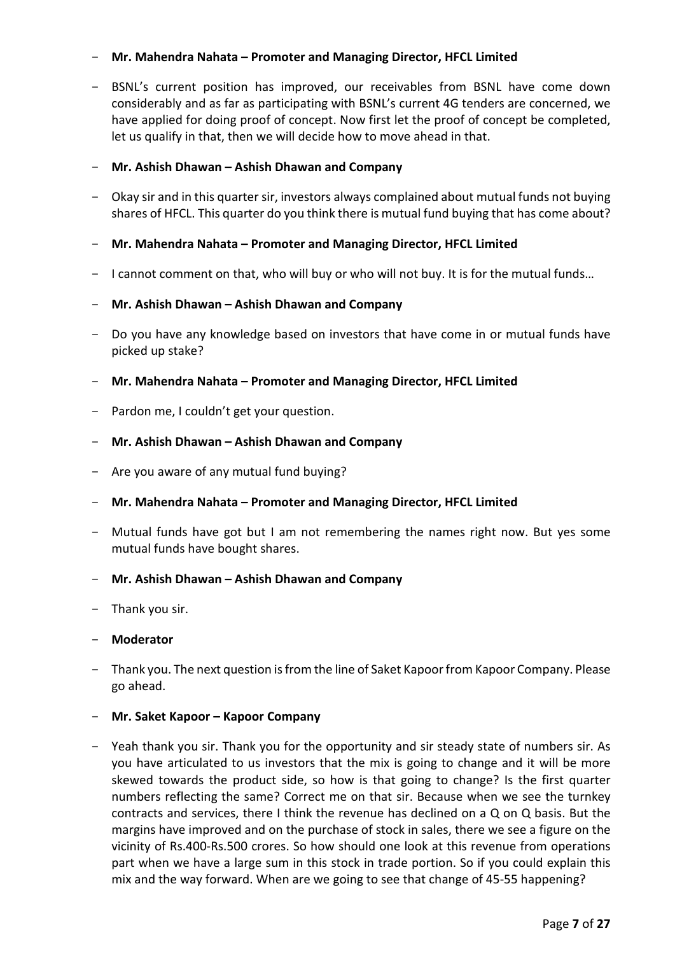- BSNL's current position has improved, our receivables from BSNL have come down considerably and as far as participating with BSNL's current 4G tenders are concerned, we have applied for doing proof of concept. Now first let the proof of concept be completed, let us qualify in that, then we will decide how to move ahead in that.
- **Mr. Ashish Dhawan – Ashish Dhawan and Company**
- Okay sir and in this quarter sir, investors always complained about mutual funds not buying shares of HFCL. This quarter do you think there is mutual fund buying that has come about?
- **Mr. Mahendra Nahata – Promoter and Managing Director, HFCL Limited**
- I cannot comment on that, who will buy or who will not buy. It is for the mutual funds…
- **Mr. Ashish Dhawan – Ashish Dhawan and Company**
- Do you have any knowledge based on investors that have come in or mutual funds have picked up stake?
- **Mr. Mahendra Nahata – Promoter and Managing Director, HFCL Limited**
- Pardon me, I couldn't get your question.
- **Mr. Ashish Dhawan – Ashish Dhawan and Company**
- Are you aware of any mutual fund buying?
- **Mr. Mahendra Nahata – Promoter and Managing Director, HFCL Limited**
- Mutual funds have got but I am not remembering the names right now. But yes some mutual funds have bought shares.
- **Mr. Ashish Dhawan – Ashish Dhawan and Company**
- Thank you sir.
- **Moderator**
- Thank you. The next question is from the line of Saket Kapoorfrom Kapoor Company. Please go ahead.
- **Mr. Saket Kapoor – Kapoor Company**
- Yeah thank you sir. Thank you for the opportunity and sir steady state of numbers sir. As you have articulated to us investors that the mix is going to change and it will be more skewed towards the product side, so how is that going to change? Is the first quarter numbers reflecting the same? Correct me on that sir. Because when we see the turnkey contracts and services, there I think the revenue has declined on a Q on Q basis. But the margins have improved and on the purchase of stock in sales, there we see a figure on the vicinity of Rs.400-Rs.500 crores. So how should one look at this revenue from operations part when we have a large sum in this stock in trade portion. So if you could explain this mix and the way forward. When are we going to see that change of 45-55 happening?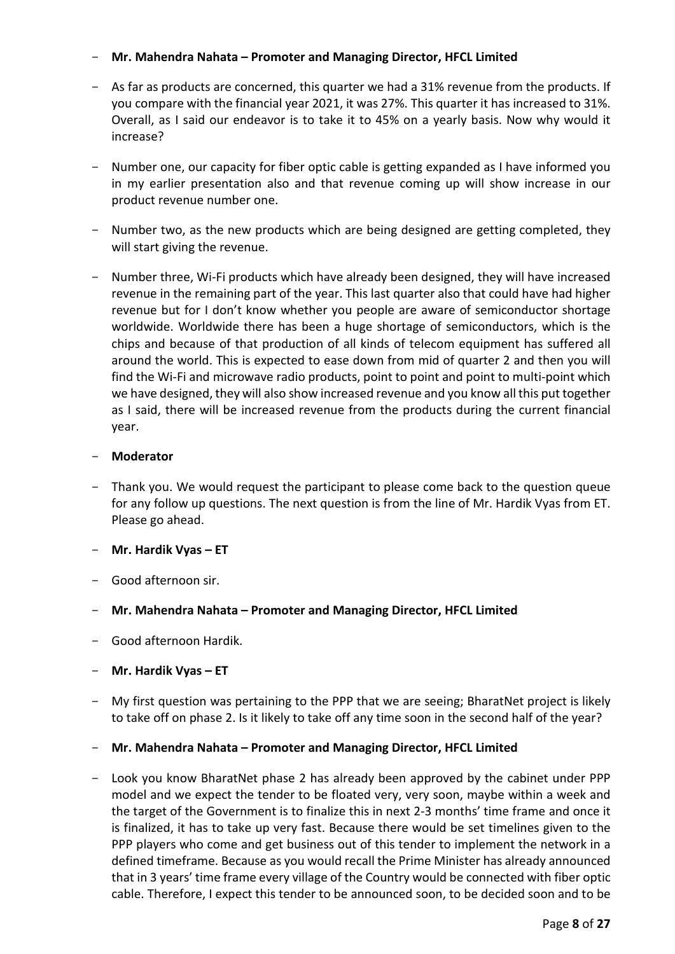- As far as products are concerned, this quarter we had a 31% revenue from the products. If you compare with the financial year 2021, it was 27%. This quarter it has increased to 31%. Overall, as I said our endeavor is to take it to 45% on a yearly basis. Now why would it increase?
- Number one, our capacity for fiber optic cable is getting expanded as I have informed you in my earlier presentation also and that revenue coming up will show increase in our product revenue number one.
- Number two, as the new products which are being designed are getting completed, they will start giving the revenue.
- Number three, Wi-Fi products which have already been designed, they will have increased revenue in the remaining part of the year. This last quarter also that could have had higher revenue but for I don't know whether you people are aware of semiconductor shortage worldwide. Worldwide there has been a huge shortage of semiconductors, which is the chips and because of that production of all kinds of telecom equipment has suffered all around the world. This is expected to ease down from mid of quarter 2 and then you will find the Wi-Fi and microwave radio products, point to point and point to multi-point which we have designed, they will also show increased revenue and you know all this put together as I said, there will be increased revenue from the products during the current financial year.

# - **Moderator**

- Thank you. We would request the participant to please come back to the question queue for any follow up questions. The next question is from the line of Mr. Hardik Vyas from ET. Please go ahead.
- **Mr. Hardik Vyas – ET**
- Good afternoon sir.
- **Mr. Mahendra Nahata – Promoter and Managing Director, HFCL Limited**
- Good afternoon Hardik.
- **Mr. Hardik Vyas – ET**
- My first question was pertaining to the PPP that we are seeing; BharatNet project is likely to take off on phase 2. Is it likely to take off any time soon in the second half of the year?
- **Mr. Mahendra Nahata – Promoter and Managing Director, HFCL Limited**
- Look you know BharatNet phase 2 has already been approved by the cabinet under PPP model and we expect the tender to be floated very, very soon, maybe within a week and the target of the Government is to finalize this in next 2-3 months' time frame and once it is finalized, it has to take up very fast. Because there would be set timelines given to the PPP players who come and get business out of this tender to implement the network in a defined timeframe. Because as you would recall the Prime Minister has already announced that in 3 years' time frame every village of the Country would be connected with fiber optic cable. Therefore, I expect this tender to be announced soon, to be decided soon and to be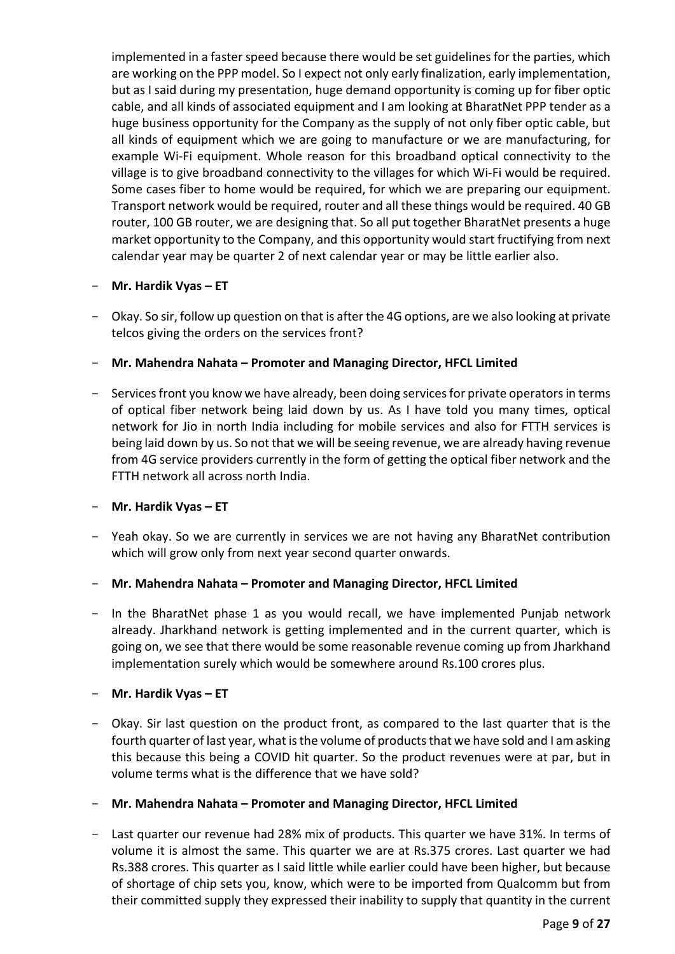implemented in a faster speed because there would be set guidelines for the parties, which are working on the PPP model. So I expect not only early finalization, early implementation, but as I said during my presentation, huge demand opportunity is coming up for fiber optic cable, and all kinds of associated equipment and I am looking at BharatNet PPP tender as a huge business opportunity for the Company as the supply of not only fiber optic cable, but all kinds of equipment which we are going to manufacture or we are manufacturing, for example Wi-Fi equipment. Whole reason for this broadband optical connectivity to the village is to give broadband connectivity to the villages for which Wi-Fi would be required. Some cases fiber to home would be required, for which we are preparing our equipment. Transport network would be required, router and all these things would be required. 40 GB router, 100 GB router, we are designing that. So all put together BharatNet presents a huge market opportunity to the Company, and this opportunity would start fructifying from next calendar year may be quarter 2 of next calendar year or may be little earlier also.

# - **Mr. Hardik Vyas – ET**

- Okay. So sir, follow up question on that is after the 4G options, are we also looking at private telcos giving the orders on the services front?

# - **Mr. Mahendra Nahata – Promoter and Managing Director, HFCL Limited**

- Services front you know we have already, been doing services for private operators in terms of optical fiber network being laid down by us. As I have told you many times, optical network for Jio in north India including for mobile services and also for FTTH services is being laid down by us. So not that we will be seeing revenue, we are already having revenue from 4G service providers currently in the form of getting the optical fiber network and the FTTH network all across north India.

# - **Mr. Hardik Vyas – ET**

- Yeah okay. So we are currently in services we are not having any BharatNet contribution which will grow only from next year second quarter onwards.

# - **Mr. Mahendra Nahata – Promoter and Managing Director, HFCL Limited**

- In the BharatNet phase 1 as you would recall, we have implemented Punjab network already. Jharkhand network is getting implemented and in the current quarter, which is going on, we see that there would be some reasonable revenue coming up from Jharkhand implementation surely which would be somewhere around Rs.100 crores plus.

# - **Mr. Hardik Vyas – ET**

- Okay. Sir last question on the product front, as compared to the last quarter that is the fourth quarter of last year, what is the volume of products that we have sold and I am asking this because this being a COVID hit quarter. So the product revenues were at par, but in volume terms what is the difference that we have sold?
- **Mr. Mahendra Nahata – Promoter and Managing Director, HFCL Limited**
- Last quarter our revenue had 28% mix of products. This quarter we have 31%. In terms of volume it is almost the same. This quarter we are at Rs.375 crores. Last quarter we had Rs.388 crores. This quarter as I said little while earlier could have been higher, but because of shortage of chip sets you, know, which were to be imported from Qualcomm but from their committed supply they expressed their inability to supply that quantity in the current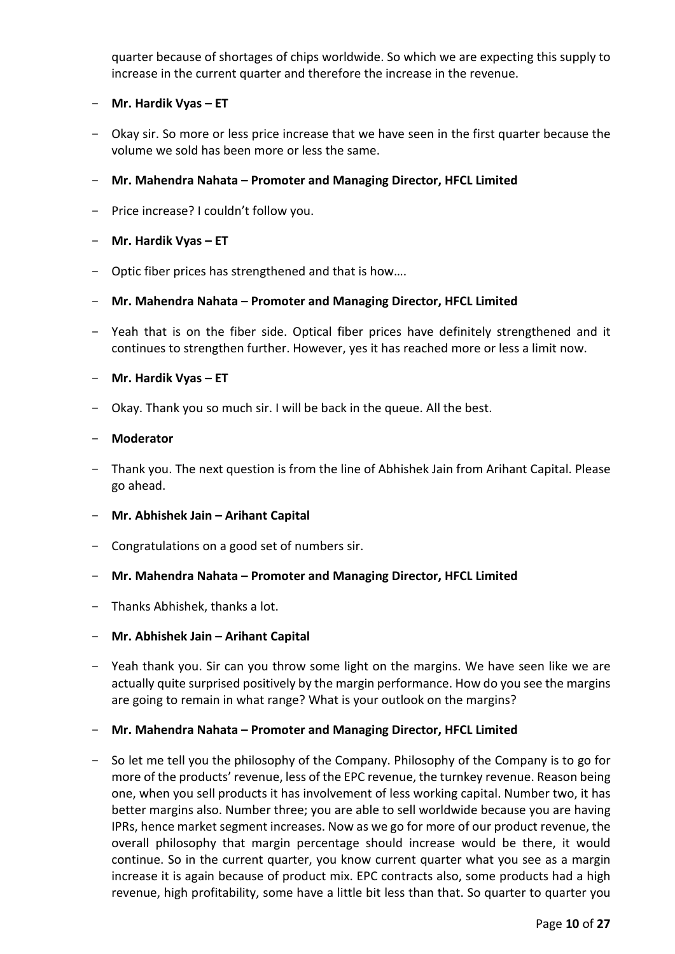quarter because of shortages of chips worldwide. So which we are expecting this supply to increase in the current quarter and therefore the increase in the revenue.

# - **Mr. Hardik Vyas – ET**

- Okay sir. So more or less price increase that we have seen in the first quarter because the volume we sold has been more or less the same.
- **Mr. Mahendra Nahata – Promoter and Managing Director, HFCL Limited**
- Price increase? I couldn't follow you.

# - **Mr. Hardik Vyas – ET**

- Optic fiber prices has strengthened and that is how….
- **Mr. Mahendra Nahata – Promoter and Managing Director, HFCL Limited**
- Yeah that is on the fiber side. Optical fiber prices have definitely strengthened and it continues to strengthen further. However, yes it has reached more or less a limit now.

# - **Mr. Hardik Vyas – ET**

- Okay. Thank you so much sir. I will be back in the queue. All the best.

# - **Moderator**

- Thank you. The next question is from the line of Abhishek Jain from Arihant Capital. Please go ahead.

# - **Mr. Abhishek Jain – Arihant Capital**

- Congratulations on a good set of numbers sir.
- **Mr. Mahendra Nahata – Promoter and Managing Director, HFCL Limited**
- Thanks Abhishek, thanks a lot.
- **Mr. Abhishek Jain – Arihant Capital**
- Yeah thank you. Sir can you throw some light on the margins. We have seen like we are actually quite surprised positively by the margin performance. How do you see the margins are going to remain in what range? What is your outlook on the margins?

# - **Mr. Mahendra Nahata – Promoter and Managing Director, HFCL Limited**

- So let me tell you the philosophy of the Company. Philosophy of the Company is to go for more of the products' revenue, less of the EPC revenue, the turnkey revenue. Reason being one, when you sell products it has involvement of less working capital. Number two, it has better margins also. Number three; you are able to sell worldwide because you are having IPRs, hence market segment increases. Now as we go for more of our product revenue, the overall philosophy that margin percentage should increase would be there, it would continue. So in the current quarter, you know current quarter what you see as a margin increase it is again because of product mix. EPC contracts also, some products had a high revenue, high profitability, some have a little bit less than that. So quarter to quarter you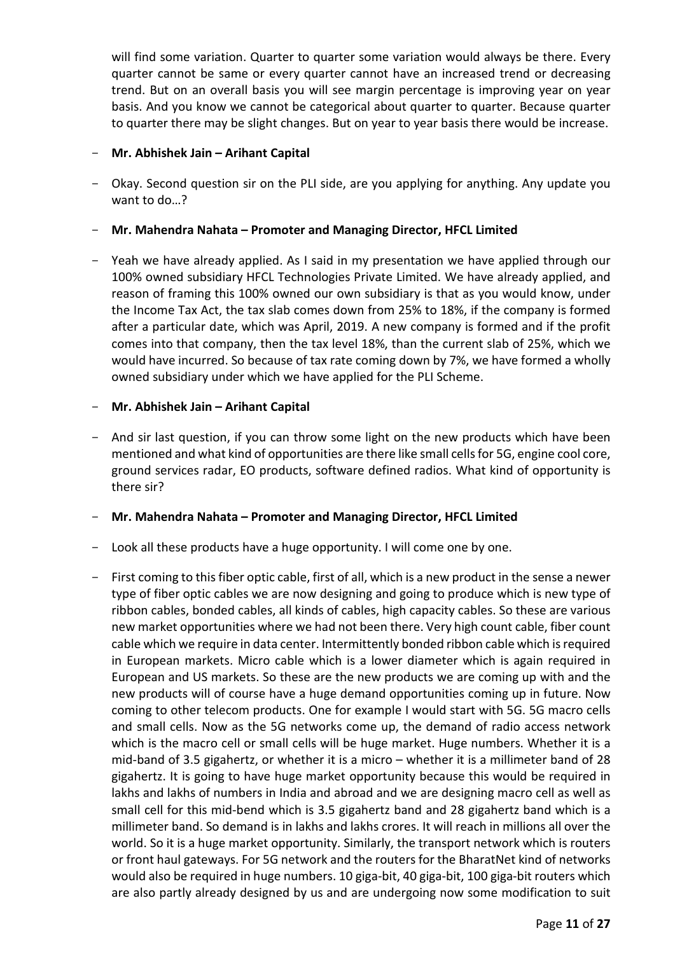will find some variation. Quarter to quarter some variation would always be there. Every quarter cannot be same or every quarter cannot have an increased trend or decreasing trend. But on an overall basis you will see margin percentage is improving year on year basis. And you know we cannot be categorical about quarter to quarter. Because quarter to quarter there may be slight changes. But on year to year basis there would be increase.

# - **Mr. Abhishek Jain – Arihant Capital**

- Okay. Second question sir on the PLI side, are you applying for anything. Any update you want to do…?
- **Mr. Mahendra Nahata – Promoter and Managing Director, HFCL Limited**
- Yeah we have already applied. As I said in my presentation we have applied through our 100% owned subsidiary HFCL Technologies Private Limited. We have already applied, and reason of framing this 100% owned our own subsidiary is that as you would know, under the Income Tax Act, the tax slab comes down from 25% to 18%, if the company is formed after a particular date, which was April, 2019. A new company is formed and if the profit comes into that company, then the tax level 18%, than the current slab of 25%, which we would have incurred. So because of tax rate coming down by 7%, we have formed a wholly owned subsidiary under which we have applied for the PLI Scheme.

# - **Mr. Abhishek Jain – Arihant Capital**

- And sir last question, if you can throw some light on the new products which have been mentioned and what kind of opportunities are there like small cells for 5G, engine cool core, ground services radar, EO products, software defined radios. What kind of opportunity is there sir?

- Look all these products have a huge opportunity. I will come one by one.
- First coming to this fiber optic cable, first of all, which is a new product in the sense a newer type of fiber optic cables we are now designing and going to produce which is new type of ribbon cables, bonded cables, all kinds of cables, high capacity cables. So these are various new market opportunities where we had not been there. Very high count cable, fiber count cable which we require in data center. Intermittently bonded ribbon cable which is required in European markets. Micro cable which is a lower diameter which is again required in European and US markets. So these are the new products we are coming up with and the new products will of course have a huge demand opportunities coming up in future. Now coming to other telecom products. One for example I would start with 5G. 5G macro cells and small cells. Now as the 5G networks come up, the demand of radio access network which is the macro cell or small cells will be huge market. Huge numbers. Whether it is a mid-band of 3.5 gigahertz, or whether it is a micro – whether it is a millimeter band of 28 gigahertz. It is going to have huge market opportunity because this would be required in lakhs and lakhs of numbers in India and abroad and we are designing macro cell as well as small cell for this mid-bend which is 3.5 gigahertz band and 28 gigahertz band which is a millimeter band. So demand is in lakhs and lakhs crores. It will reach in millions all over the world. So it is a huge market opportunity. Similarly, the transport network which is routers or front haul gateways. For 5G network and the routers for the BharatNet kind of networks would also be required in huge numbers. 10 giga-bit, 40 giga-bit, 100 giga-bit routers which are also partly already designed by us and are undergoing now some modification to suit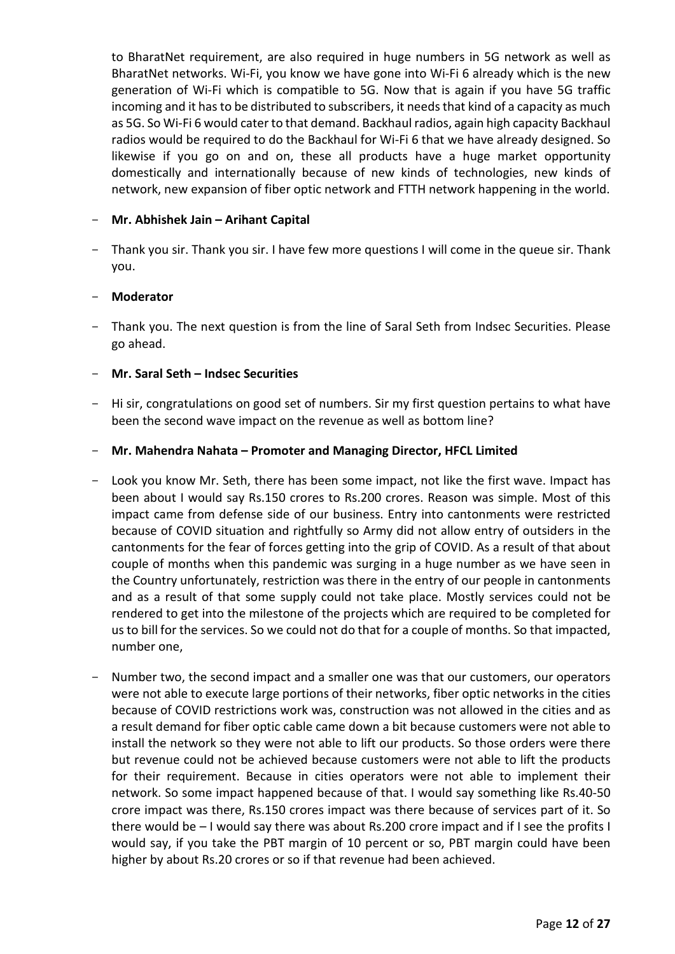to BharatNet requirement, are also required in huge numbers in 5G network as well as BharatNet networks. Wi-Fi, you know we have gone into Wi-Fi 6 already which is the new generation of Wi-Fi which is compatible to 5G. Now that is again if you have 5G traffic incoming and it has to be distributed to subscribers, it needs that kind of a capacity as much as 5G. So Wi-Fi 6 would cater to that demand. Backhaul radios, again high capacity Backhaul radios would be required to do the Backhaul for Wi-Fi 6 that we have already designed. So likewise if you go on and on, these all products have a huge market opportunity domestically and internationally because of new kinds of technologies, new kinds of network, new expansion of fiber optic network and FTTH network happening in the world.

# - **Mr. Abhishek Jain – Arihant Capital**

- Thank you sir. Thank you sir. I have few more questions I will come in the queue sir. Thank you.

# - **Moderator**

- Thank you. The next question is from the line of Saral Seth from Indsec Securities. Please go ahead.

# - **Mr. Saral Seth – Indsec Securities**

- Hi sir, congratulations on good set of numbers. Sir my first question pertains to what have been the second wave impact on the revenue as well as bottom line?

- Look you know Mr. Seth, there has been some impact, not like the first wave. Impact has been about I would say Rs.150 crores to Rs.200 crores. Reason was simple. Most of this impact came from defense side of our business. Entry into cantonments were restricted because of COVID situation and rightfully so Army did not allow entry of outsiders in the cantonments for the fear of forces getting into the grip of COVID. As a result of that about couple of months when this pandemic was surging in a huge number as we have seen in the Country unfortunately, restriction was there in the entry of our people in cantonments and as a result of that some supply could not take place. Mostly services could not be rendered to get into the milestone of the projects which are required to be completed for us to bill for the services. So we could not do that for a couple of months. So that impacted, number one,
- Number two, the second impact and a smaller one was that our customers, our operators were not able to execute large portions of their networks, fiber optic networks in the cities because of COVID restrictions work was, construction was not allowed in the cities and as a result demand for fiber optic cable came down a bit because customers were not able to install the network so they were not able to lift our products. So those orders were there but revenue could not be achieved because customers were not able to lift the products for their requirement. Because in cities operators were not able to implement their network. So some impact happened because of that. I would say something like Rs.40-50 crore impact was there, Rs.150 crores impact was there because of services part of it. So there would be – I would say there was about Rs.200 crore impact and if I see the profits I would say, if you take the PBT margin of 10 percent or so, PBT margin could have been higher by about Rs.20 crores or so if that revenue had been achieved.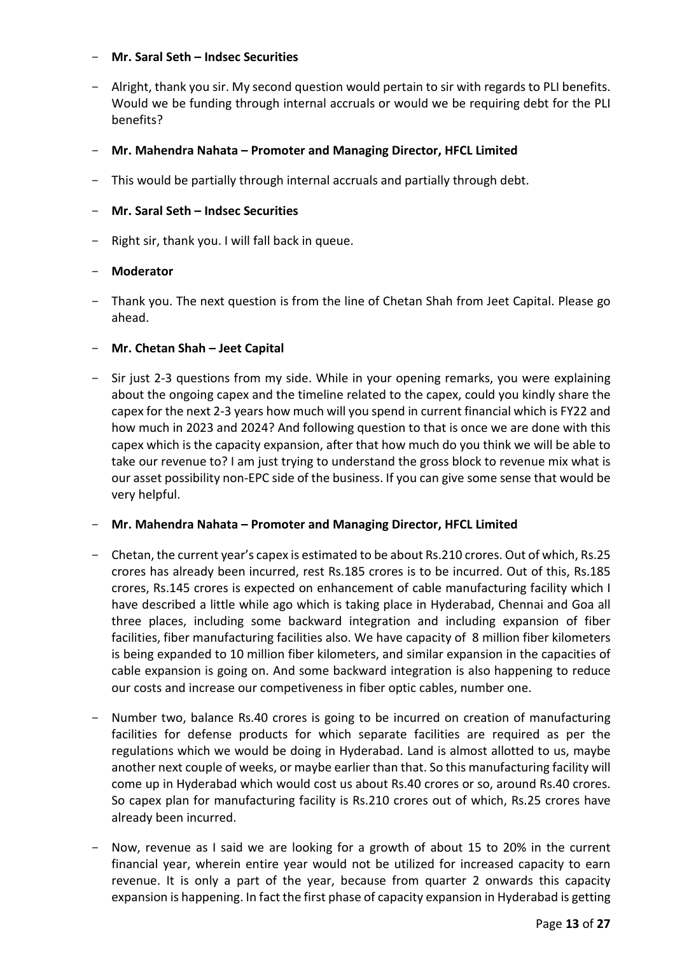# - **Mr. Saral Seth – Indsec Securities**

- Alright, thank you sir. My second question would pertain to sir with regards to PLI benefits. Would we be funding through internal accruals or would we be requiring debt for the PLI benefits?

# - **Mr. Mahendra Nahata – Promoter and Managing Director, HFCL Limited**

- This would be partially through internal accruals and partially through debt.

# - **Mr. Saral Seth – Indsec Securities**

- Right sir, thank you. I will fall back in queue.

# - **Moderator**

- Thank you. The next question is from the line of Chetan Shah from Jeet Capital. Please go ahead.

# - **Mr. Chetan Shah – Jeet Capital**

- Sir just 2-3 questions from my side. While in your opening remarks, you were explaining about the ongoing capex and the timeline related to the capex, could you kindly share the capex for the next 2-3 years how much will you spend in current financial which is FY22 and how much in 2023 and 2024? And following question to that is once we are done with this capex which is the capacity expansion, after that how much do you think we will be able to take our revenue to? I am just trying to understand the gross block to revenue mix what is our asset possibility non-EPC side of the business. If you can give some sense that would be very helpful.

- Chetan, the current year's capex is estimated to be about Rs.210 crores. Out of which, Rs.25 crores has already been incurred, rest Rs.185 crores is to be incurred. Out of this, Rs.185 crores, Rs.145 crores is expected on enhancement of cable manufacturing facility which I have described a little while ago which is taking place in Hyderabad, Chennai and Goa all three places, including some backward integration and including expansion of fiber facilities, fiber manufacturing facilities also. We have capacity of 8 million fiber kilometers is being expanded to 10 million fiber kilometers, and similar expansion in the capacities of cable expansion is going on. And some backward integration is also happening to reduce our costs and increase our competiveness in fiber optic cables, number one.
- Number two, balance Rs.40 crores is going to be incurred on creation of manufacturing facilities for defense products for which separate facilities are required as per the regulations which we would be doing in Hyderabad. Land is almost allotted to us, maybe another next couple of weeks, or maybe earlier than that. So this manufacturing facility will come up in Hyderabad which would cost us about Rs.40 crores or so, around Rs.40 crores. So capex plan for manufacturing facility is Rs.210 crores out of which, Rs.25 crores have already been incurred.
- Now, revenue as I said we are looking for a growth of about 15 to 20% in the current financial year, wherein entire year would not be utilized for increased capacity to earn revenue. It is only a part of the year, because from quarter 2 onwards this capacity expansion is happening. In fact the first phase of capacity expansion in Hyderabad is getting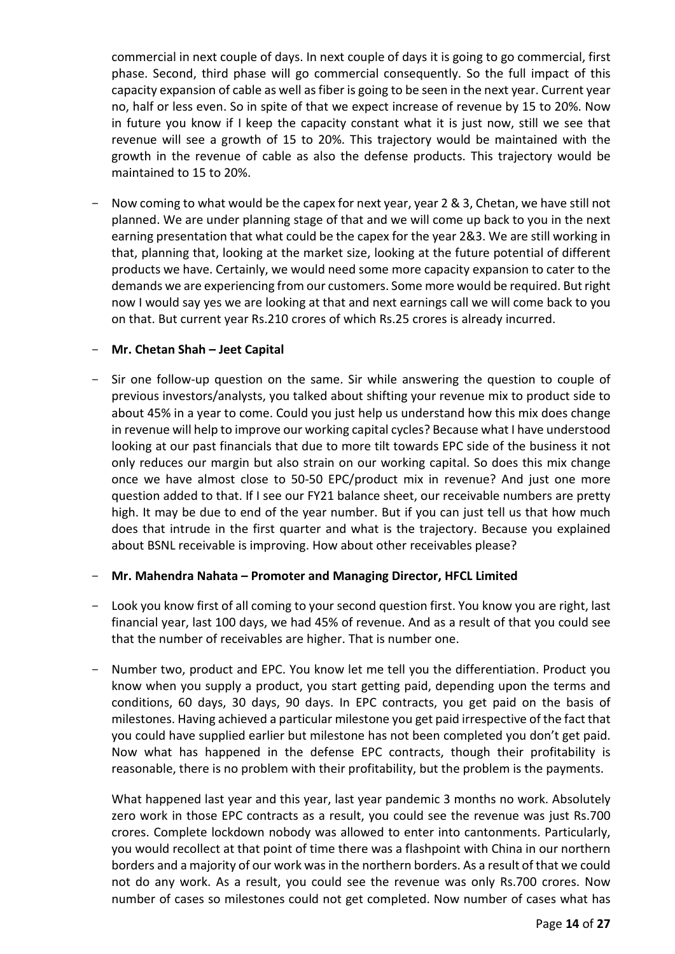commercial in next couple of days. In next couple of days it is going to go commercial, first phase. Second, third phase will go commercial consequently. So the full impact of this capacity expansion of cable as well as fiber is going to be seen in the next year. Current year no, half or less even. So in spite of that we expect increase of revenue by 15 to 20%. Now in future you know if I keep the capacity constant what it is just now, still we see that revenue will see a growth of 15 to 20%. This trajectory would be maintained with the growth in the revenue of cable as also the defense products. This trajectory would be maintained to 15 to 20%.

Now coming to what would be the capex for next year, year 2 & 3, Chetan, we have still not planned. We are under planning stage of that and we will come up back to you in the next earning presentation that what could be the capex for the year 2&3. We are still working in that, planning that, looking at the market size, looking at the future potential of different products we have. Certainly, we would need some more capacity expansion to cater to the demands we are experiencing from our customers. Some more would be required. But right now I would say yes we are looking at that and next earnings call we will come back to you on that. But current year Rs.210 crores of which Rs.25 crores is already incurred.

# - **Mr. Chetan Shah – Jeet Capital**

- Sir one follow-up question on the same. Sir while answering the question to couple of previous investors/analysts, you talked about shifting your revenue mix to product side to about 45% in a year to come. Could you just help us understand how this mix does change in revenue will help to improve our working capital cycles? Because what I have understood looking at our past financials that due to more tilt towards EPC side of the business it not only reduces our margin but also strain on our working capital. So does this mix change once we have almost close to 50-50 EPC/product mix in revenue? And just one more question added to that. If I see our FY21 balance sheet, our receivable numbers are pretty high. It may be due to end of the year number. But if you can just tell us that how much does that intrude in the first quarter and what is the trajectory. Because you explained about BSNL receivable is improving. How about other receivables please?

# - **Mr. Mahendra Nahata – Promoter and Managing Director, HFCL Limited**

- Look you know first of all coming to your second question first. You know you are right, last financial year, last 100 days, we had 45% of revenue. And as a result of that you could see that the number of receivables are higher. That is number one.
- Number two, product and EPC. You know let me tell you the differentiation. Product you know when you supply a product, you start getting paid, depending upon the terms and conditions, 60 days, 30 days, 90 days. In EPC contracts, you get paid on the basis of milestones. Having achieved a particular milestone you get paid irrespective of the fact that you could have supplied earlier but milestone has not been completed you don't get paid. Now what has happened in the defense EPC contracts, though their profitability is reasonable, there is no problem with their profitability, but the problem is the payments.

What happened last year and this year, last year pandemic 3 months no work. Absolutely zero work in those EPC contracts as a result, you could see the revenue was just Rs.700 crores. Complete lockdown nobody was allowed to enter into cantonments. Particularly, you would recollect at that point of time there was a flashpoint with China in our northern borders and a majority of our work was in the northern borders. As a result of that we could not do any work. As a result, you could see the revenue was only Rs.700 crores. Now number of cases so milestones could not get completed. Now number of cases what has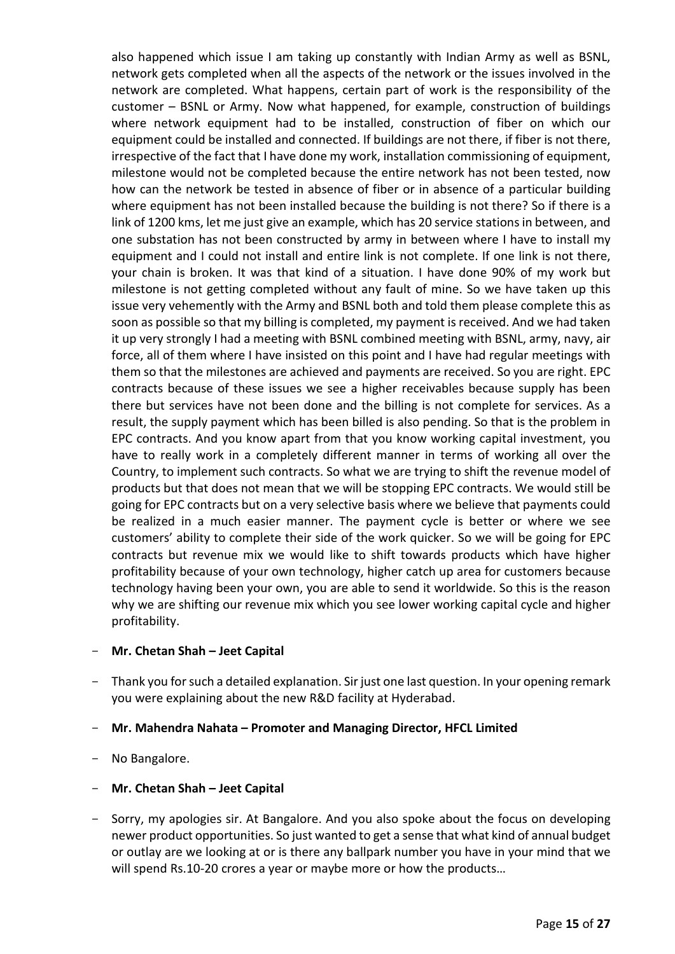also happened which issue I am taking up constantly with Indian Army as well as BSNL, network gets completed when all the aspects of the network or the issues involved in the network are completed. What happens, certain part of work is the responsibility of the customer – BSNL or Army. Now what happened, for example, construction of buildings where network equipment had to be installed, construction of fiber on which our equipment could be installed and connected. If buildings are not there, if fiber is not there, irrespective of the fact that I have done my work, installation commissioning of equipment, milestone would not be completed because the entire network has not been tested, now how can the network be tested in absence of fiber or in absence of a particular building where equipment has not been installed because the building is not there? So if there is a link of 1200 kms, let me just give an example, which has 20 service stations in between, and one substation has not been constructed by army in between where I have to install my equipment and I could not install and entire link is not complete. If one link is not there, your chain is broken. It was that kind of a situation. I have done 90% of my work but milestone is not getting completed without any fault of mine. So we have taken up this issue very vehemently with the Army and BSNL both and told them please complete this as soon as possible so that my billing is completed, my payment is received. And we had taken it up very strongly I had a meeting with BSNL combined meeting with BSNL, army, navy, air force, all of them where I have insisted on this point and I have had regular meetings with them so that the milestones are achieved and payments are received. So you are right. EPC contracts because of these issues we see a higher receivables because supply has been there but services have not been done and the billing is not complete for services. As a result, the supply payment which has been billed is also pending. So that is the problem in EPC contracts. And you know apart from that you know working capital investment, you have to really work in a completely different manner in terms of working all over the Country, to implement such contracts. So what we are trying to shift the revenue model of products but that does not mean that we will be stopping EPC contracts. We would still be going for EPC contracts but on a very selective basis where we believe that payments could be realized in a much easier manner. The payment cycle is better or where we see customers' ability to complete their side of the work quicker. So we will be going for EPC contracts but revenue mix we would like to shift towards products which have higher profitability because of your own technology, higher catch up area for customers because technology having been your own, you are able to send it worldwide. So this is the reason why we are shifting our revenue mix which you see lower working capital cycle and higher profitability.

# - **Mr. Chetan Shah – Jeet Capital**

- Thank you for such a detailed explanation. Sir just one last question. In your opening remark you were explaining about the new R&D facility at Hyderabad.
- **Mr. Mahendra Nahata – Promoter and Managing Director, HFCL Limited**
- No Bangalore.

# - **Mr. Chetan Shah – Jeet Capital**

- Sorry, my apologies sir. At Bangalore. And you also spoke about the focus on developing newer product opportunities. So just wanted to get a sense that what kind of annual budget or outlay are we looking at or is there any ballpark number you have in your mind that we will spend Rs.10-20 crores a year or maybe more or how the products…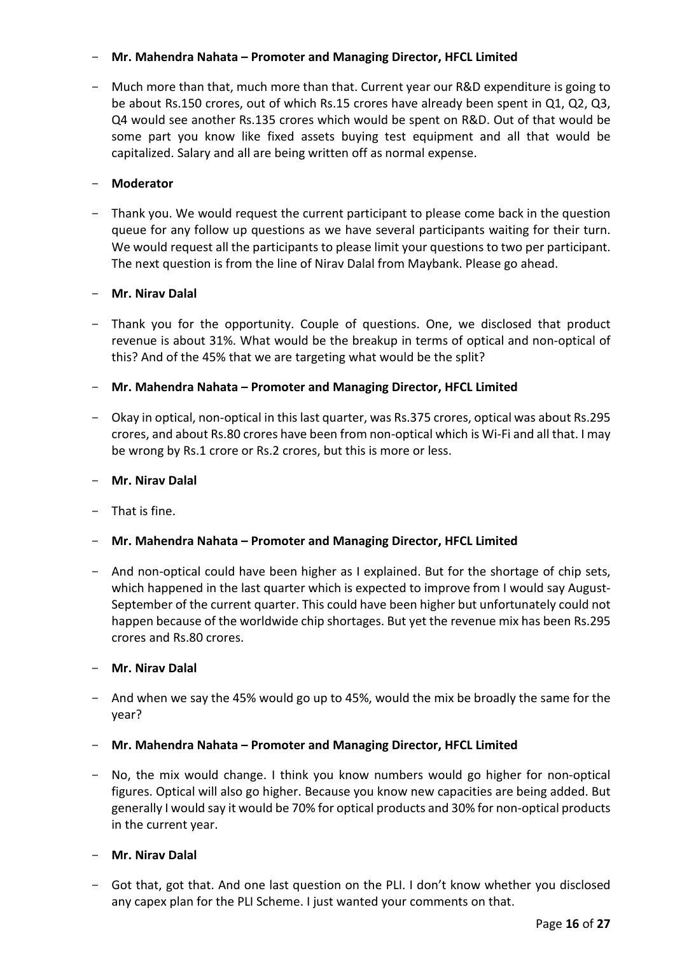- Much more than that, much more than that. Current year our R&D expenditure is going to be about Rs.150 crores, out of which Rs.15 crores have already been spent in Q1, Q2, Q3, Q4 would see another Rs.135 crores which would be spent on R&D. Out of that would be some part you know like fixed assets buying test equipment and all that would be capitalized. Salary and all are being written off as normal expense.

# - **Moderator**

- Thank you. We would request the current participant to please come back in the question queue for any follow up questions as we have several participants waiting for their turn. We would request all the participants to please limit your questions to two per participant. The next question is from the line of Nirav Dalal from Maybank. Please go ahead.

# - **Mr. Nirav Dalal**

- Thank you for the opportunity. Couple of questions. One, we disclosed that product revenue is about 31%. What would be the breakup in terms of optical and non-optical of this? And of the 45% that we are targeting what would be the split?
- **Mr. Mahendra Nahata – Promoter and Managing Director, HFCL Limited**
- Okay in optical, non-optical in this last quarter, was Rs.375 crores, optical was about Rs.295 crores, and about Rs.80 crores have been from non-optical which is Wi-Fi and all that. I may be wrong by Rs.1 crore or Rs.2 crores, but this is more or less.

# - **Mr. Nirav Dalal**

- That is fine.

# - **Mr. Mahendra Nahata – Promoter and Managing Director, HFCL Limited**

- And non-optical could have been higher as I explained. But for the shortage of chip sets, which happened in the last quarter which is expected to improve from I would say August-September of the current quarter. This could have been higher but unfortunately could not happen because of the worldwide chip shortages. But yet the revenue mix has been Rs.295 crores and Rs.80 crores.

# - **Mr. Nirav Dalal**

- And when we say the 45% would go up to 45%, would the mix be broadly the same for the year?
- **Mr. Mahendra Nahata – Promoter and Managing Director, HFCL Limited**
- No, the mix would change. I think you know numbers would go higher for non-optical figures. Optical will also go higher. Because you know new capacities are being added. But generally I would say it would be 70% for optical products and 30% for non-optical products in the current year.

# - **Mr. Nirav Dalal**

- Got that, got that. And one last question on the PLI. I don't know whether you disclosed any capex plan for the PLI Scheme. I just wanted your comments on that.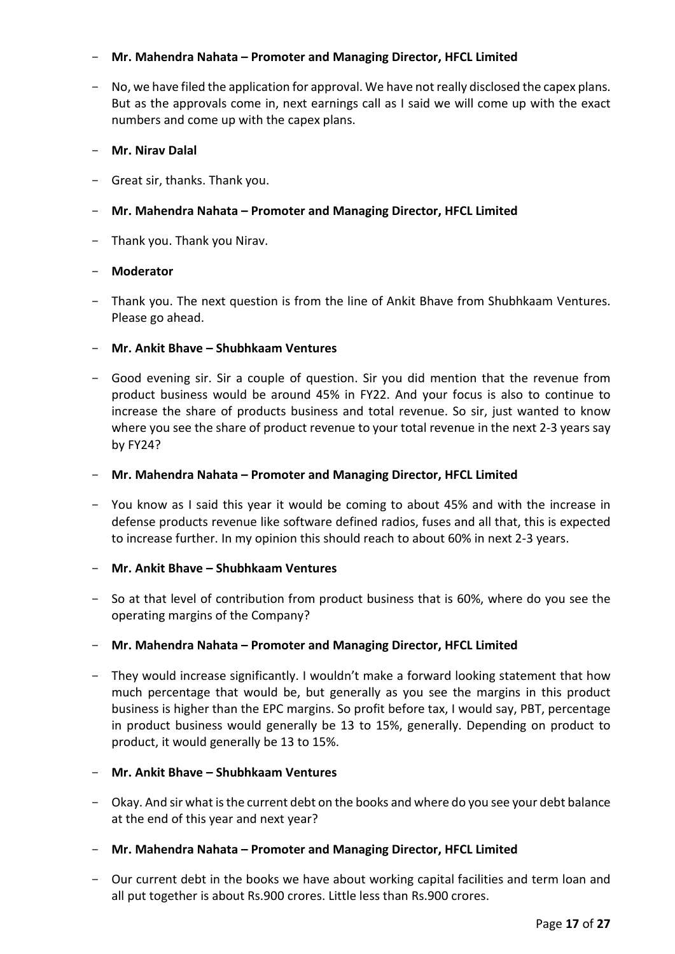- No, we have filed the application for approval. We have not really disclosed the capex plans. But as the approvals come in, next earnings call as I said we will come up with the exact numbers and come up with the capex plans.

# - **Mr. Nirav Dalal**

- Great sir, thanks. Thank you.

# - **Mr. Mahendra Nahata – Promoter and Managing Director, HFCL Limited**

- Thank you. Thank you Nirav.

# - **Moderator**

- Thank you. The next question is from the line of Ankit Bhave from Shubhkaam Ventures. Please go ahead.

# - **Mr. Ankit Bhave – Shubhkaam Ventures**

- Good evening sir. Sir a couple of question. Sir you did mention that the revenue from product business would be around 45% in FY22. And your focus is also to continue to increase the share of products business and total revenue. So sir, just wanted to know where you see the share of product revenue to your total revenue in the next 2-3 years say by FY24?

# - **Mr. Mahendra Nahata – Promoter and Managing Director, HFCL Limited**

- You know as I said this year it would be coming to about 45% and with the increase in defense products revenue like software defined radios, fuses and all that, this is expected to increase further. In my opinion this should reach to about 60% in next 2-3 years.

# - **Mr. Ankit Bhave – Shubhkaam Ventures**

- So at that level of contribution from product business that is 60%, where do you see the operating margins of the Company?

# - **Mr. Mahendra Nahata – Promoter and Managing Director, HFCL Limited**

- They would increase significantly. I wouldn't make a forward looking statement that how much percentage that would be, but generally as you see the margins in this product business is higher than the EPC margins. So profit before tax, I would say, PBT, percentage in product business would generally be 13 to 15%, generally. Depending on product to product, it would generally be 13 to 15%.

# - **Mr. Ankit Bhave – Shubhkaam Ventures**

- Okay. And sir what is the current debt on the books and where do you see your debt balance at the end of this year and next year?
- **Mr. Mahendra Nahata – Promoter and Managing Director, HFCL Limited**
- Our current debt in the books we have about working capital facilities and term loan and all put together is about Rs.900 crores. Little less than Rs.900 crores.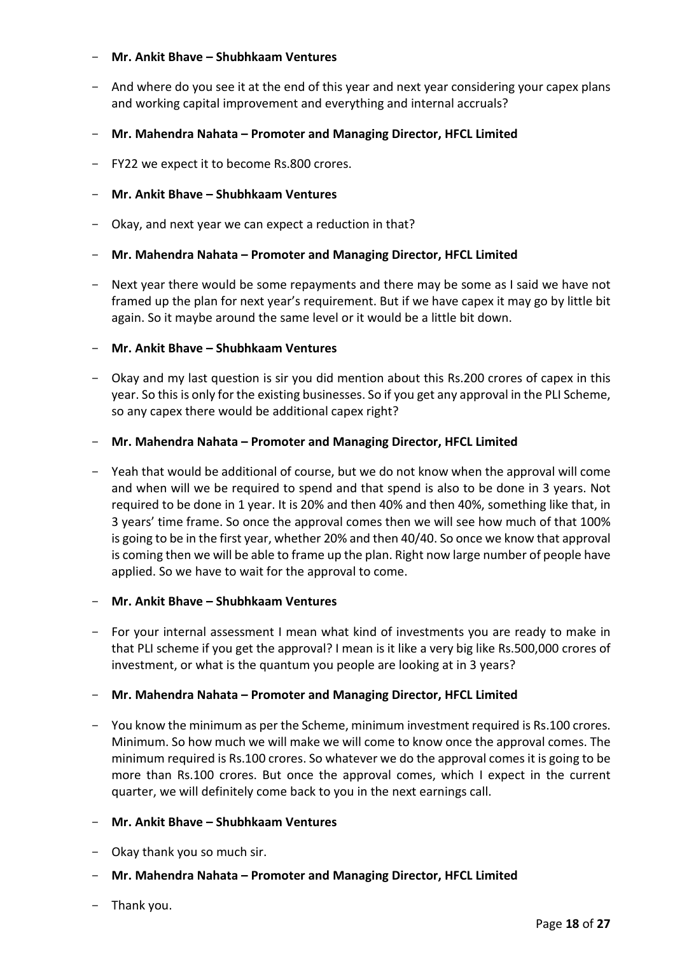# - **Mr. Ankit Bhave – Shubhkaam Ventures**

- And where do you see it at the end of this year and next year considering your capex plans and working capital improvement and everything and internal accruals?
- **Mr. Mahendra Nahata – Promoter and Managing Director, HFCL Limited**
- FY22 we expect it to become Rs.800 crores.

# - **Mr. Ankit Bhave – Shubhkaam Ventures**

- Okay, and next year we can expect a reduction in that?

# - **Mr. Mahendra Nahata – Promoter and Managing Director, HFCL Limited**

- Next year there would be some repayments and there may be some as I said we have not framed up the plan for next year's requirement. But if we have capex it may go by little bit again. So it maybe around the same level or it would be a little bit down.

# - **Mr. Ankit Bhave – Shubhkaam Ventures**

- Okay and my last question is sir you did mention about this Rs.200 crores of capex in this year. So this is only for the existing businesses. So if you get any approval in the PLI Scheme, so any capex there would be additional capex right?

# - **Mr. Mahendra Nahata – Promoter and Managing Director, HFCL Limited**

- Yeah that would be additional of course, but we do not know when the approval will come and when will we be required to spend and that spend is also to be done in 3 years. Not required to be done in 1 year. It is 20% and then 40% and then 40%, something like that, in 3 years' time frame. So once the approval comes then we will see how much of that 100% is going to be in the first year, whether 20% and then 40/40. So once we know that approval is coming then we will be able to frame up the plan. Right now large number of people have applied. So we have to wait for the approval to come.

# - **Mr. Ankit Bhave – Shubhkaam Ventures**

- For your internal assessment I mean what kind of investments you are ready to make in that PLI scheme if you get the approval? I mean is it like a very big like Rs.500,000 crores of investment, or what is the quantum you people are looking at in 3 years?

# - **Mr. Mahendra Nahata – Promoter and Managing Director, HFCL Limited**

- You know the minimum as per the Scheme, minimum investment required is Rs.100 crores. Minimum. So how much we will make we will come to know once the approval comes. The minimum required is Rs.100 crores. So whatever we do the approval comes it is going to be more than Rs.100 crores. But once the approval comes, which I expect in the current quarter, we will definitely come back to you in the next earnings call.

# - **Mr. Ankit Bhave – Shubhkaam Ventures**

- Okay thank you so much sir.
- **Mr. Mahendra Nahata – Promoter and Managing Director, HFCL Limited**
- Thank you.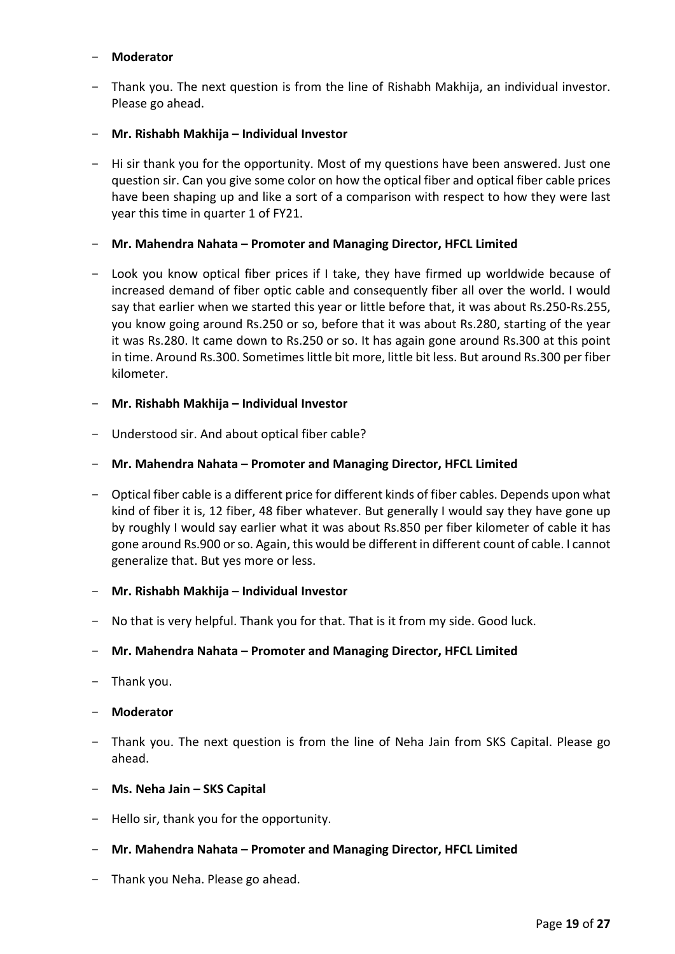# - **Moderator**

- Thank you. The next question is from the line of Rishabh Makhija, an individual investor. Please go ahead.
- **Mr. Rishabh Makhija – Individual Investor**
- Hi sir thank you for the opportunity. Most of my questions have been answered. Just one question sir. Can you give some color on how the optical fiber and optical fiber cable prices have been shaping up and like a sort of a comparison with respect to how they were last year this time in quarter 1 of FY21.
- **Mr. Mahendra Nahata – Promoter and Managing Director, HFCL Limited**
- Look you know optical fiber prices if I take, they have firmed up worldwide because of increased demand of fiber optic cable and consequently fiber all over the world. I would say that earlier when we started this year or little before that, it was about Rs.250-Rs.255, you know going around Rs.250 or so, before that it was about Rs.280, starting of the year it was Rs.280. It came down to Rs.250 or so. It has again gone around Rs.300 at this point in time. Around Rs.300. Sometimes little bit more, little bit less. But around Rs.300 per fiber kilometer.
- **Mr. Rishabh Makhija – Individual Investor**
- Understood sir. And about optical fiber cable?
- **Mr. Mahendra Nahata – Promoter and Managing Director, HFCL Limited**
- Optical fiber cable is a different price for different kinds of fiber cables. Depends upon what kind of fiber it is, 12 fiber, 48 fiber whatever. But generally I would say they have gone up by roughly I would say earlier what it was about Rs.850 per fiber kilometer of cable it has gone around Rs.900 or so. Again, this would be different in different count of cable. I cannot generalize that. But yes more or less.
- **Mr. Rishabh Makhija – Individual Investor**
- No that is very helpful. Thank you for that. That is it from my side. Good luck.

- Thank you.
- **Moderator**
- Thank you. The next question is from the line of Neha Jain from SKS Capital. Please go ahead.
- **Ms. Neha Jain – SKS Capital**
- Hello sir, thank you for the opportunity.
- **Mr. Mahendra Nahata – Promoter and Managing Director, HFCL Limited**
- Thank you Neha. Please go ahead.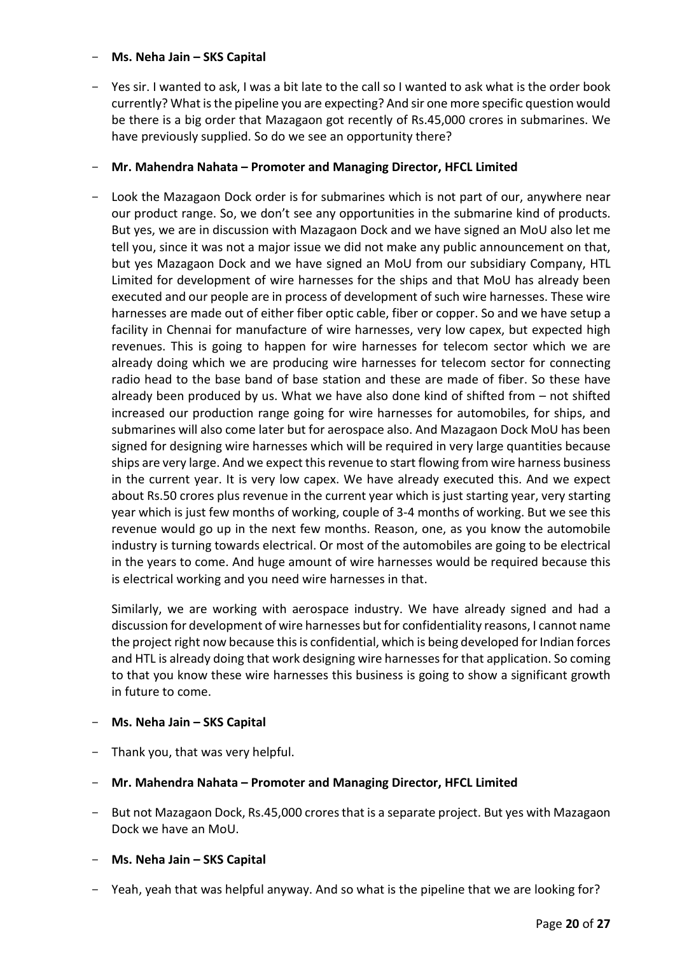# - **Ms. Neha Jain – SKS Capital**

- Yes sir. I wanted to ask, I was a bit late to the call so I wanted to ask what is the order book currently? What is the pipeline you are expecting? And sir one more specific question would be there is a big order that Mazagaon got recently of Rs.45,000 crores in submarines. We have previously supplied. So do we see an opportunity there?

# - **Mr. Mahendra Nahata – Promoter and Managing Director, HFCL Limited**

- Look the Mazagaon Dock order is for submarines which is not part of our, anywhere near our product range. So, we don't see any opportunities in the submarine kind of products. But yes, we are in discussion with Mazagaon Dock and we have signed an MoU also let me tell you, since it was not a major issue we did not make any public announcement on that, but yes Mazagaon Dock and we have signed an MoU from our subsidiary Company, HTL Limited for development of wire harnesses for the ships and that MoU has already been executed and our people are in process of development of such wire harnesses. These wire harnesses are made out of either fiber optic cable, fiber or copper. So and we have setup a facility in Chennai for manufacture of wire harnesses, very low capex, but expected high revenues. This is going to happen for wire harnesses for telecom sector which we are already doing which we are producing wire harnesses for telecom sector for connecting radio head to the base band of base station and these are made of fiber. So these have already been produced by us. What we have also done kind of shifted from – not shifted increased our production range going for wire harnesses for automobiles, for ships, and submarines will also come later but for aerospace also. And Mazagaon Dock MoU has been signed for designing wire harnesses which will be required in very large quantities because ships are very large. And we expect this revenue to start flowing from wire harness business in the current year. It is very low capex. We have already executed this. And we expect about Rs.50 crores plus revenue in the current year which is just starting year, very starting year which is just few months of working, couple of 3-4 months of working. But we see this revenue would go up in the next few months. Reason, one, as you know the automobile industry is turning towards electrical. Or most of the automobiles are going to be electrical in the years to come. And huge amount of wire harnesses would be required because this is electrical working and you need wire harnesses in that.

Similarly, we are working with aerospace industry. We have already signed and had a discussion for development of wire harnesses but for confidentiality reasons, I cannot name the project right now because this is confidential, which is being developed for Indian forces and HTL is already doing that work designing wire harnesses for that application. So coming to that you know these wire harnesses this business is going to show a significant growth in future to come.

- **Ms. Neha Jain – SKS Capital**
- Thank you, that was very helpful.
- **Mr. Mahendra Nahata – Promoter and Managing Director, HFCL Limited**
- But not Mazagaon Dock, Rs.45,000 crores that is a separate project. But yes with Mazagaon Dock we have an MoU.
- **Ms. Neha Jain – SKS Capital**
- Yeah, yeah that was helpful anyway. And so what is the pipeline that we are looking for?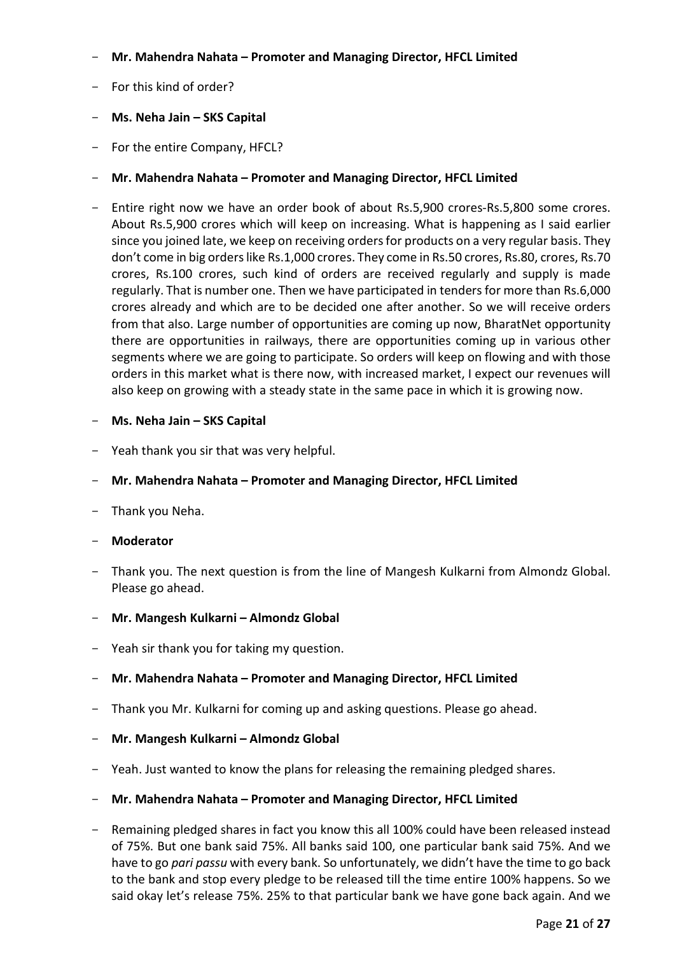- **Mr. Mahendra Nahata – Promoter and Managing Director, HFCL Limited**
- For this kind of order?
- **Ms. Neha Jain – SKS Capital**
- For the entire Company, HFCL?
- **Mr. Mahendra Nahata – Promoter and Managing Director, HFCL Limited**
- Entire right now we have an order book of about Rs.5,900 crores-Rs.5,800 some crores. About Rs.5,900 crores which will keep on increasing. What is happening as I said earlier since you joined late, we keep on receiving orders for products on a very regular basis. They don't come in big orders like Rs.1,000 crores. They come in Rs.50 crores, Rs.80, crores, Rs.70 crores, Rs.100 crores, such kind of orders are received regularly and supply is made regularly. That is number one. Then we have participated in tenders for more than Rs.6,000 crores already and which are to be decided one after another. So we will receive orders from that also. Large number of opportunities are coming up now, BharatNet opportunity there are opportunities in railways, there are opportunities coming up in various other segments where we are going to participate. So orders will keep on flowing and with those orders in this market what is there now, with increased market, I expect our revenues will also keep on growing with a steady state in the same pace in which it is growing now.

# - **Ms. Neha Jain – SKS Capital**

- Yeah thank you sir that was very helpful.

# - **Mr. Mahendra Nahata – Promoter and Managing Director, HFCL Limited**

- Thank you Neha.

# - **Moderator**

- Thank you. The next question is from the line of Mangesh Kulkarni from Almondz Global. Please go ahead.
- **Mr. Mangesh Kulkarni – Almondz Global**
- Yeah sir thank you for taking my question.

- Thank you Mr. Kulkarni for coming up and asking questions. Please go ahead.
- **Mr. Mangesh Kulkarni – Almondz Global**
- Yeah. Just wanted to know the plans for releasing the remaining pledged shares.
- **Mr. Mahendra Nahata – Promoter and Managing Director, HFCL Limited**
- Remaining pledged shares in fact you know this all 100% could have been released instead of 75%. But one bank said 75%. All banks said 100, one particular bank said 75%. And we have to go *pari passu* with every bank. So unfortunately, we didn't have the time to go back to the bank and stop every pledge to be released till the time entire 100% happens. So we said okay let's release 75%. 25% to that particular bank we have gone back again. And we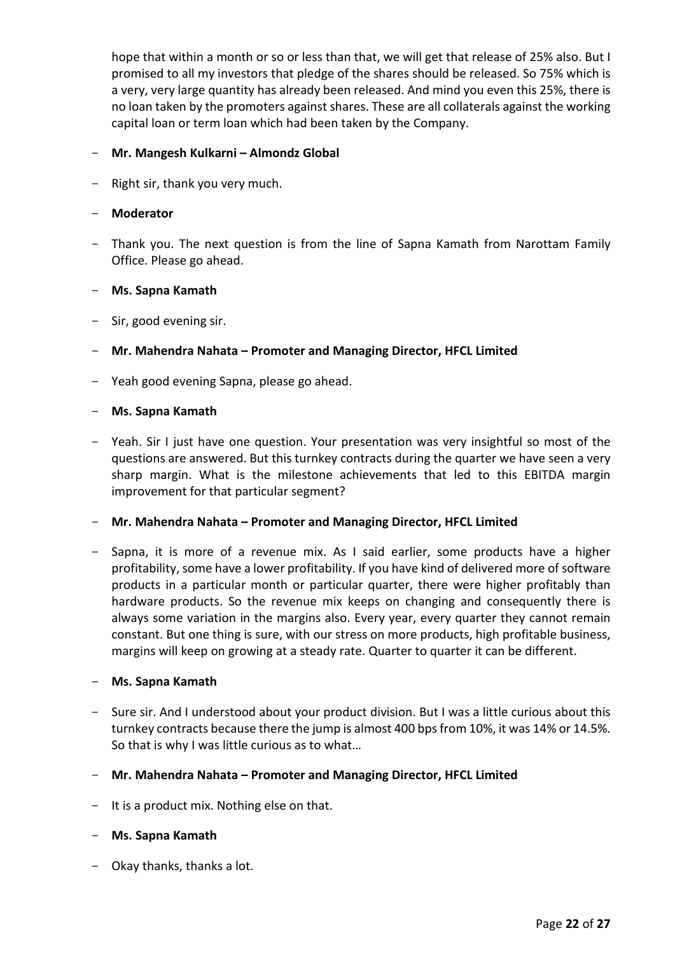hope that within a month or so or less than that, we will get that release of 25% also. But I promised to all my investors that pledge of the shares should be released. So 75% which is a very, very large quantity has already been released. And mind you even this 25%, there is no loan taken by the promoters against shares. These are all collaterals against the working capital loan or term loan which had been taken by the Company.

# - **Mr. Mangesh Kulkarni – Almondz Global**

- Right sir, thank you very much.

# - **Moderator**

- Thank you. The next question is from the line of Sapna Kamath from Narottam Family Office. Please go ahead.

# - **Ms. Sapna Kamath**

- Sir, good evening sir.

# - **Mr. Mahendra Nahata – Promoter and Managing Director, HFCL Limited**

- Yeah good evening Sapna, please go ahead.

# - **Ms. Sapna Kamath**

- Yeah. Sir I just have one question. Your presentation was very insightful so most of the questions are answered. But this turnkey contracts during the quarter we have seen a very sharp margin. What is the milestone achievements that led to this EBITDA margin improvement for that particular segment?

# - **Mr. Mahendra Nahata – Promoter and Managing Director, HFCL Limited**

- Sapna, it is more of a revenue mix. As I said earlier, some products have a higher profitability, some have a lower profitability. If you have kind of delivered more of software products in a particular month or particular quarter, there were higher profitably than hardware products. So the revenue mix keeps on changing and consequently there is always some variation in the margins also. Every year, every quarter they cannot remain constant. But one thing is sure, with our stress on more products, high profitable business, margins will keep on growing at a steady rate. Quarter to quarter it can be different.

# - **Ms. Sapna Kamath**

- Sure sir. And I understood about your product division. But I was a little curious about this turnkey contracts because there the jump is almost 400 bps from 10%, it was 14% or 14.5%. So that is why I was little curious as to what…
- **Mr. Mahendra Nahata – Promoter and Managing Director, HFCL Limited**
- It is a product mix. Nothing else on that.

# - **Ms. Sapna Kamath**

- Okay thanks, thanks a lot.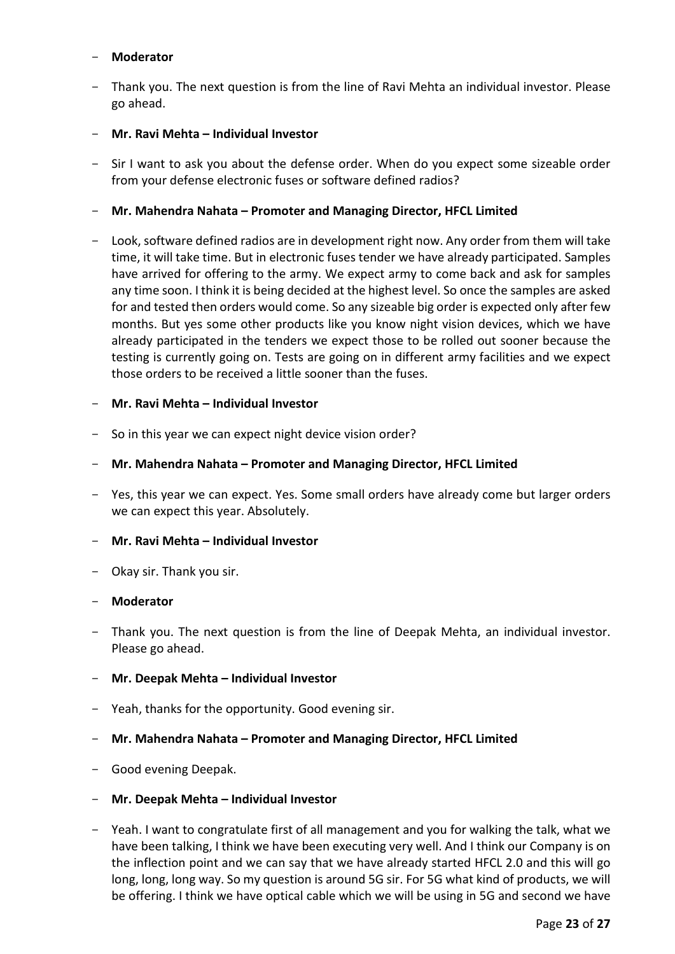# - **Moderator**

- Thank you. The next question is from the line of Ravi Mehta an individual investor. Please go ahead.
- **Mr. Ravi Mehta – Individual Investor**
- Sir I want to ask you about the defense order. When do you expect some sizeable order from your defense electronic fuses or software defined radios?
- **Mr. Mahendra Nahata – Promoter and Managing Director, HFCL Limited**
- Look, software defined radios are in development right now. Any order from them will take time, it will take time. But in electronic fuses tender we have already participated. Samples have arrived for offering to the army. We expect army to come back and ask for samples any time soon. I think it is being decided at the highest level. So once the samples are asked for and tested then orders would come. So any sizeable big order is expected only after few months. But yes some other products like you know night vision devices, which we have already participated in the tenders we expect those to be rolled out sooner because the testing is currently going on. Tests are going on in different army facilities and we expect those orders to be received a little sooner than the fuses.

# - **Mr. Ravi Mehta – Individual Investor**

- So in this year we can expect night device vision order?
- **Mr. Mahendra Nahata – Promoter and Managing Director, HFCL Limited**
- Yes, this year we can expect. Yes. Some small orders have already come but larger orders we can expect this year. Absolutely.

# - **Mr. Ravi Mehta – Individual Investor**

- Okay sir. Thank you sir.

# - **Moderator**

- Thank you. The next question is from the line of Deepak Mehta, an individual investor. Please go ahead.
- **Mr. Deepak Mehta – Individual Investor**
- Yeah, thanks for the opportunity. Good evening sir.
- **Mr. Mahendra Nahata – Promoter and Managing Director, HFCL Limited**
- Good evening Deepak.
- **Mr. Deepak Mehta – Individual Investor**
- Yeah. I want to congratulate first of all management and you for walking the talk, what we have been talking, I think we have been executing very well. And I think our Company is on the inflection point and we can say that we have already started HFCL 2.0 and this will go long, long, long way. So my question is around 5G sir. For 5G what kind of products, we will be offering. I think we have optical cable which we will be using in 5G and second we have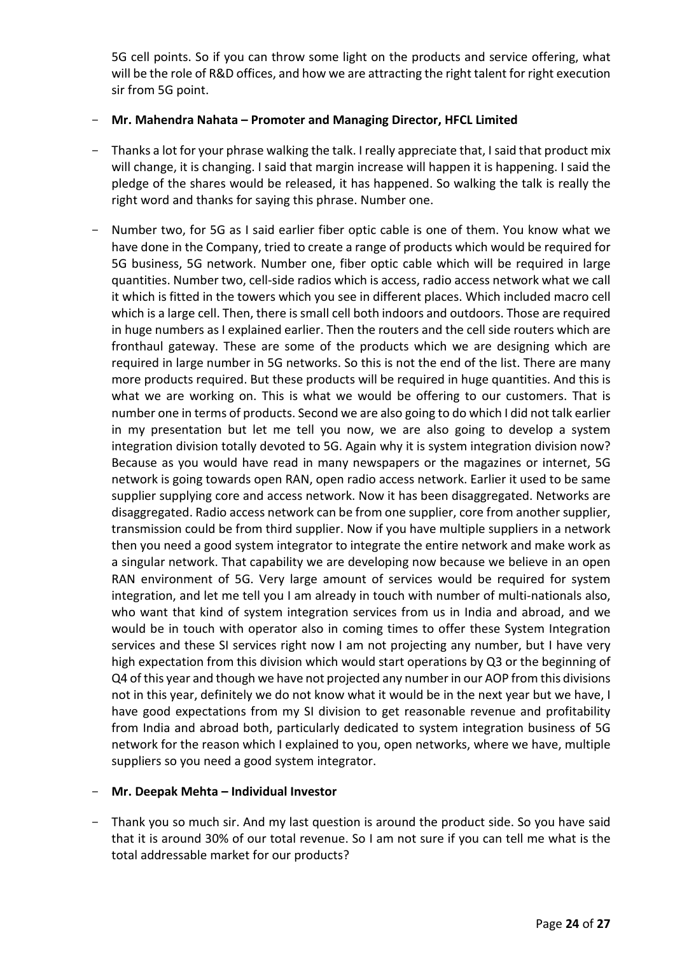5G cell points. So if you can throw some light on the products and service offering, what will be the role of R&D offices, and how we are attracting the right talent for right execution sir from 5G point.

# - **Mr. Mahendra Nahata – Promoter and Managing Director, HFCL Limited**

- Thanks a lot for your phrase walking the talk. I really appreciate that, I said that product mix will change, it is changing. I said that margin increase will happen it is happening. I said the pledge of the shares would be released, it has happened. So walking the talk is really the right word and thanks for saying this phrase. Number one.
- Number two, for 5G as I said earlier fiber optic cable is one of them. You know what we have done in the Company, tried to create a range of products which would be required for 5G business, 5G network. Number one, fiber optic cable which will be required in large quantities. Number two, cell-side radios which is access, radio access network what we call it which is fitted in the towers which you see in different places. Which included macro cell which is a large cell. Then, there is small cell both indoors and outdoors. Those are required in huge numbers as I explained earlier. Then the routers and the cell side routers which are fronthaul gateway. These are some of the products which we are designing which are required in large number in 5G networks. So this is not the end of the list. There are many more products required. But these products will be required in huge quantities. And this is what we are working on. This is what we would be offering to our customers. That is number one in terms of products. Second we are also going to do which I did not talk earlier in my presentation but let me tell you now, we are also going to develop a system integration division totally devoted to 5G. Again why it is system integration division now? Because as you would have read in many newspapers or the magazines or internet, 5G network is going towards open RAN, open radio access network. Earlier it used to be same supplier supplying core and access network. Now it has been disaggregated. Networks are disaggregated. Radio access network can be from one supplier, core from another supplier, transmission could be from third supplier. Now if you have multiple suppliers in a network then you need a good system integrator to integrate the entire network and make work as a singular network. That capability we are developing now because we believe in an open RAN environment of 5G. Very large amount of services would be required for system integration, and let me tell you I am already in touch with number of multi-nationals also, who want that kind of system integration services from us in India and abroad, and we would be in touch with operator also in coming times to offer these System Integration services and these SI services right now I am not projecting any number, but I have very high expectation from this division which would start operations by Q3 or the beginning of Q4 of this year and though we have not projected any number in our AOP from this divisions not in this year, definitely we do not know what it would be in the next year but we have, I have good expectations from my SI division to get reasonable revenue and profitability from India and abroad both, particularly dedicated to system integration business of 5G network for the reason which I explained to you, open networks, where we have, multiple suppliers so you need a good system integrator.

# - **Mr. Deepak Mehta – Individual Investor**

- Thank you so much sir. And my last question is around the product side. So you have said that it is around 30% of our total revenue. So I am not sure if you can tell me what is the total addressable market for our products?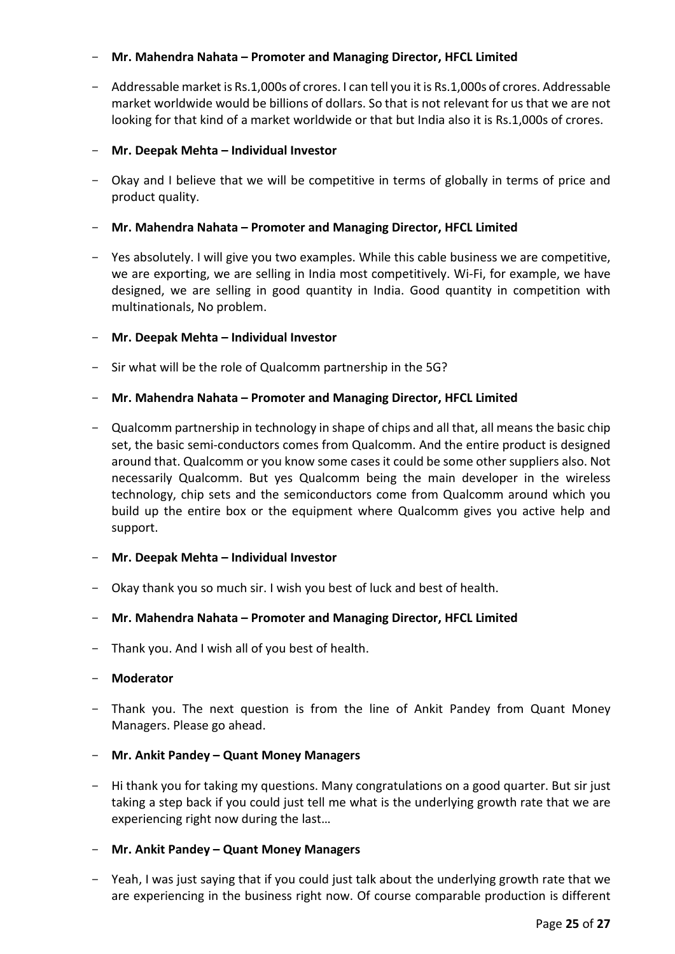- Addressable market is Rs.1,000s of crores. I can tell you it is Rs.1,000s of crores. Addressable market worldwide would be billions of dollars. So that is not relevant for us that we are not looking for that kind of a market worldwide or that but India also it is Rs.1,000s of crores.
- **Mr. Deepak Mehta – Individual Investor**
- Okay and I believe that we will be competitive in terms of globally in terms of price and product quality.
- **Mr. Mahendra Nahata – Promoter and Managing Director, HFCL Limited**
- Yes absolutely. I will give you two examples. While this cable business we are competitive, we are exporting, we are selling in India most competitively. Wi-Fi, for example, we have designed, we are selling in good quantity in India. Good quantity in competition with multinationals, No problem.
- **Mr. Deepak Mehta – Individual Investor**
- Sir what will be the role of Qualcomm partnership in the 5G?

# - **Mr. Mahendra Nahata – Promoter and Managing Director, HFCL Limited**

- Qualcomm partnership in technology in shape of chips and all that, all means the basic chip set, the basic semi-conductors comes from Qualcomm. And the entire product is designed around that. Qualcomm or you know some cases it could be some other suppliers also. Not necessarily Qualcomm. But yes Qualcomm being the main developer in the wireless technology, chip sets and the semiconductors come from Qualcomm around which you build up the entire box or the equipment where Qualcomm gives you active help and support.
- **Mr. Deepak Mehta – Individual Investor**
- Okay thank you so much sir. I wish you best of luck and best of health.
- **Mr. Mahendra Nahata – Promoter and Managing Director, HFCL Limited**
- Thank you. And I wish all of you best of health.

# - **Moderator**

- Thank you. The next question is from the line of Ankit Pandey from Quant Money Managers. Please go ahead.
- **Mr. Ankit Pandey – Quant Money Managers**
- Hi thank you for taking my questions. Many congratulations on a good quarter. But sir just taking a step back if you could just tell me what is the underlying growth rate that we are experiencing right now during the last…
- **Mr. Ankit Pandey – Quant Money Managers**
- Yeah, I was just saying that if you could just talk about the underlying growth rate that we are experiencing in the business right now. Of course comparable production is different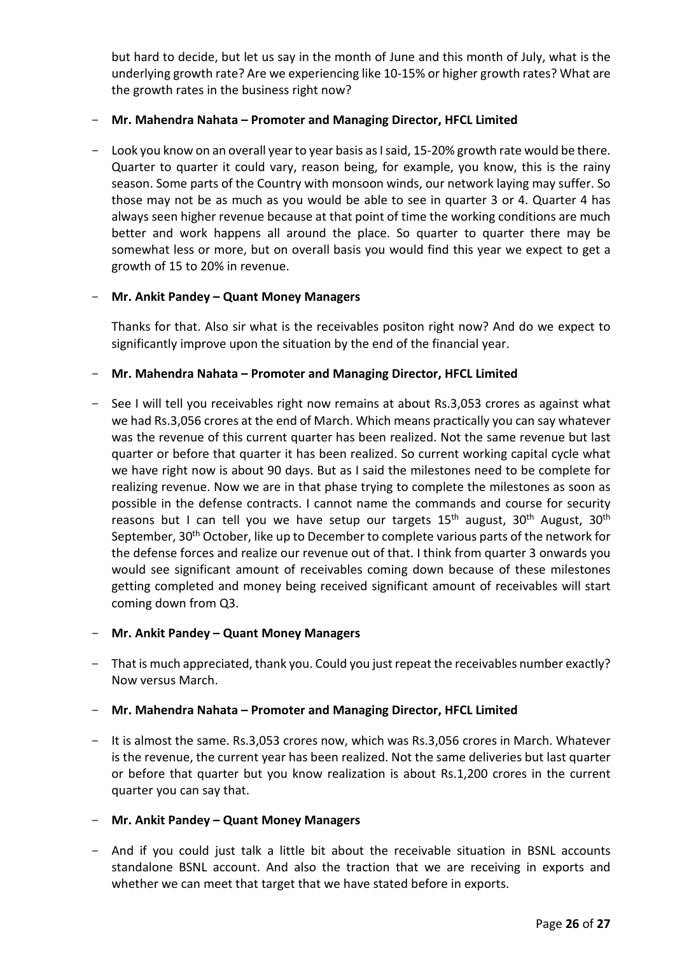but hard to decide, but let us say in the month of June and this month of July, what is the underlying growth rate? Are we experiencing like 10-15% or higher growth rates? What are the growth rates in the business right now?

# - **Mr. Mahendra Nahata – Promoter and Managing Director, HFCL Limited**

- Look you know on an overall year to year basis as I said, 15-20% growth rate would be there. Quarter to quarter it could vary, reason being, for example, you know, this is the rainy season. Some parts of the Country with monsoon winds, our network laying may suffer. So those may not be as much as you would be able to see in quarter 3 or 4. Quarter 4 has always seen higher revenue because at that point of time the working conditions are much better and work happens all around the place. So quarter to quarter there may be somewhat less or more, but on overall basis you would find this year we expect to get a growth of 15 to 20% in revenue.

# - **Mr. Ankit Pandey – Quant Money Managers**

Thanks for that. Also sir what is the receivables positon right now? And do we expect to significantly improve upon the situation by the end of the financial year.

# - **Mr. Mahendra Nahata – Promoter and Managing Director, HFCL Limited**

- See I will tell you receivables right now remains at about Rs.3,053 crores as against what we had Rs.3,056 crores at the end of March. Which means practically you can say whatever was the revenue of this current quarter has been realized. Not the same revenue but last quarter or before that quarter it has been realized. So current working capital cycle what we have right now is about 90 days. But as I said the milestones need to be complete for realizing revenue. Now we are in that phase trying to complete the milestones as soon as possible in the defense contracts. I cannot name the commands and course for security reasons but I can tell you we have setup our targets  $15<sup>th</sup>$  august,  $30<sup>th</sup>$  August,  $30<sup>th</sup>$ September, 30<sup>th</sup> October, like up to December to complete various parts of the network for the defense forces and realize our revenue out of that. I think from quarter 3 onwards you would see significant amount of receivables coming down because of these milestones getting completed and money being received significant amount of receivables will start coming down from Q3.

# - **Mr. Ankit Pandey – Quant Money Managers**

- That is much appreciated, thank you. Could you just repeat the receivables number exactly? Now versus March.

# - **Mr. Mahendra Nahata – Promoter and Managing Director, HFCL Limited**

- It is almost the same. Rs.3,053 crores now, which was Rs.3,056 crores in March. Whatever is the revenue, the current year has been realized. Not the same deliveries but last quarter or before that quarter but you know realization is about Rs.1,200 crores in the current quarter you can say that.

# - **Mr. Ankit Pandey – Quant Money Managers**

- And if you could just talk a little bit about the receivable situation in BSNL accounts standalone BSNL account. And also the traction that we are receiving in exports and whether we can meet that target that we have stated before in exports.